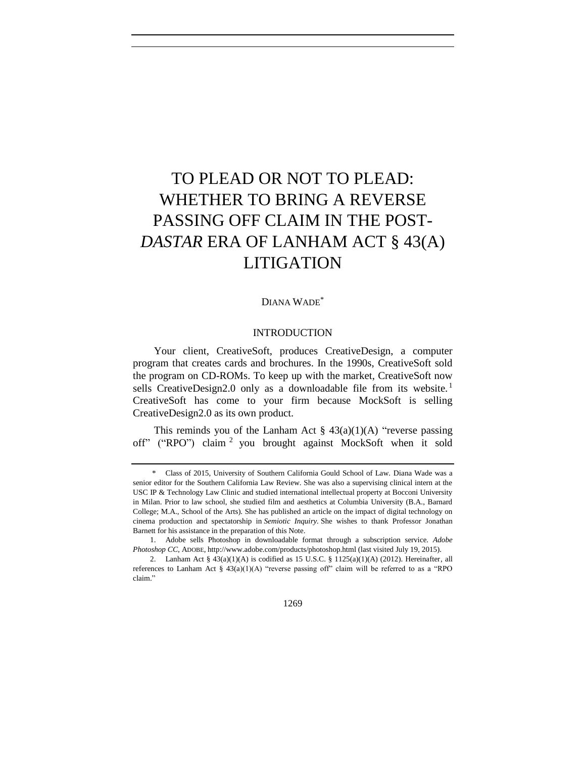# TO PLEAD OR NOT TO PLEAD: WHETHER TO BRING A REVERSE PASSING OFF CLAIM IN THE POST-*DASTAR* ERA OF LANHAM ACT § 43(A) LITIGATION

# DIANA WADE\*

#### INTRODUCTION

Your client, CreativeSoft, produces CreativeDesign, a computer program that creates cards and brochures. In the 1990s, CreativeSoft sold the program on CD-ROMs. To keep up with the market, CreativeSoft now sells CreativeDesign2.0 only as a downloadable file from its website.<sup>1</sup> CreativeSoft has come to your firm because MockSoft is selling CreativeDesign2.0 as its own product.

This reminds you of the Lanham Act  $\S$  43(a)(1)(A) "reverse passing off" ("RPO") claim <sup>2</sup> you brought against MockSoft when it sold

1269

<sup>\*</sup> Class of 2015, University of Southern California Gould School of Law. Diana Wade was a senior editor for the Southern California Law Review. She was also a supervising clinical intern at the USC IP & Technology Law Clinic and studied international intellectual property at Bocconi University in Milan. Prior to law school, she studied film and aesthetics at Columbia University (B.A., Barnard College; M.A., School of the Arts). She has published an article on the impact of digital technology on cinema production and spectatorship in *Semiotic Inquiry.* She wishes to thank Professor Jonathan Barnett for his assistance in the preparation of this Note.

<sup>1.</sup> Adobe sells Photoshop in downloadable format through a subscription service. *Adobe Photoshop CC*, ADOBE, http://www.adobe.com/products/photoshop.html (last visited July 19, 2015).

<sup>2.</sup> Lanham Act §  $43(a)(1)(A)$  is codified as 15 U.S.C. §  $1125(a)(1)(A)$  (2012). Hereinafter, all references to Lanham Act  $\S$  43(a)(1)(A) "reverse passing off" claim will be referred to as a "RPO claim."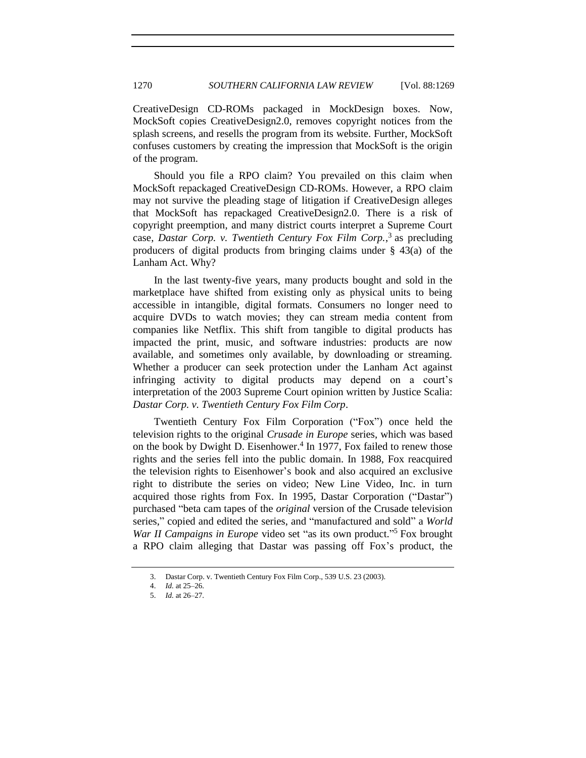CreativeDesign CD-ROMs packaged in MockDesign boxes. Now, MockSoft copies CreativeDesign2.0, removes copyright notices from the splash screens, and resells the program from its website. Further, MockSoft confuses customers by creating the impression that MockSoft is the origin of the program.

Should you file a RPO claim? You prevailed on this claim when MockSoft repackaged CreativeDesign CD-ROMs. However, a RPO claim may not survive the pleading stage of litigation if CreativeDesign alleges that MockSoft has repackaged CreativeDesign2.0. There is a risk of copyright preemption, and many district courts interpret a Supreme Court case, *Dastar Corp. v. Twentieth Century Fox Film Corp.*, 3 as precluding producers of digital products from bringing claims under § 43(a) of the Lanham Act. Why?

In the last twenty-five years, many products bought and sold in the marketplace have shifted from existing only as physical units to being accessible in intangible, digital formats. Consumers no longer need to acquire DVDs to watch movies; they can stream media content from companies like Netflix. This shift from tangible to digital products has impacted the print, music, and software industries: products are now available, and sometimes only available, by downloading or streaming. Whether a producer can seek protection under the Lanham Act against infringing activity to digital products may depend on a court's interpretation of the 2003 Supreme Court opinion written by Justice Scalia: *Dastar Corp. v. Twentieth Century Fox Film Corp*.

Twentieth Century Fox Film Corporation ("Fox") once held the television rights to the original *Crusade in Europe* series, which was based on the book by Dwight D. Eisenhower.<sup>4</sup> In 1977, Fox failed to renew those rights and the series fell into the public domain. In 1988, Fox reacquired the television rights to Eisenhower's book and also acquired an exclusive right to distribute the series on video; New Line Video, Inc. in turn acquired those rights from Fox. In 1995, Dastar Corporation ("Dastar") purchased "beta cam tapes of the *original* version of the Crusade television series," copied and edited the series, and "manufactured and sold" a *World*  War II Campaigns in Europe video set "as its own product."<sup>5</sup> Fox brought a RPO claim alleging that Dastar was passing off Fox's product, the

<sup>3.</sup> Dastar Corp. v. Twentieth Century Fox Film Corp., 539 U.S. 23 (2003).

<sup>4.</sup> *Id.* at 25–26.

<sup>5.</sup> *Id.* at 26–27.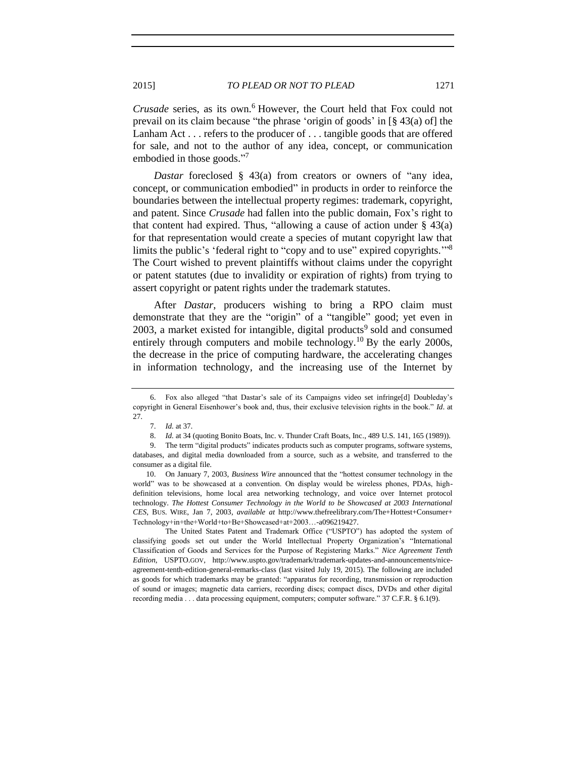*Crusade* series, as its own.<sup>6</sup> However, the Court held that Fox could not prevail on its claim because "the phrase 'origin of goods' in [§ 43(a) of] the Lanham Act . . . refers to the producer of . . . tangible goods that are offered for sale, and not to the author of any idea, concept, or communication embodied in those goods." 7

*Dastar* foreclosed § 43(a) from creators or owners of "any idea, concept, or communication embodied" in products in order to reinforce the boundaries between the intellectual property regimes: trademark, copyright, and patent. Since *Crusade* had fallen into the public domain, Fox's right to that content had expired. Thus, "allowing a cause of action under  $\S$  43(a) for that representation would create a species of mutant copyright law that limits the public's 'federal right to "copy and to use" expired copyrights.'" 8 The Court wished to prevent plaintiffs without claims under the copyright or patent statutes (due to invalidity or expiration of rights) from trying to assert copyright or patent rights under the trademark statutes.

<span id="page-2-0"></span>After *Dastar*, producers wishing to bring a RPO claim must demonstrate that they are the "origin" of a "tangible" good; yet even in 2003, a market existed for intangible, digital products<sup>9</sup> sold and consumed entirely through computers and mobile technology.<sup>10</sup> By the early 2000s, the decrease in the price of computing hardware, the accelerating changes in information technology, and the increasing use of the Internet by

The United States Patent and Trademark Office ("USPTO") has adopted the system of classifying goods set out under the World Intellectual Property Organization's "International Classification of Goods and Services for the Purpose of Registering Marks." *Nice Agreement Tenth Edition*, USPTO.GOV, http://www.uspto.gov/trademark/trademark-updates-and-announcements/niceagreement-tenth-edition-general-remarks-class (last visited July 19, 2015). The following are included as goods for which trademarks may be granted: "apparatus for recording, transmission or reproduction of sound or images; magnetic data carriers, recording discs; compact discs, DVDs and other digital recording media . . . data processing equipment, computers; computer software." 37 C.F.R. § 6.1(9).

<sup>6.</sup> Fox also alleged "that Dastar's sale of its Campaigns video set infringe[d] Doubleday's copyright in General Eisenhower's book and, thus, their exclusive television rights in the book." *Id*. at 27.

<sup>7.</sup> *Id.* at 37.

<sup>8.</sup> *Id.* at 34 (quoting Bonito Boats, Inc. v. Thunder Craft Boats, Inc., 489 U.S. 141, 165 (1989)).

<sup>9.</sup> The term "digital products" indicates products such as computer programs, software systems, databases, and digital media downloaded from a source, such as a website, and transferred to the consumer as a digital file.

<sup>10.</sup> On January 7, 2003, *Business Wire* announced that the "hottest consumer technology in the world" was to be showcased at a convention. On display would be wireless phones, PDAs, highdefinition televisions, home local area networking technology, and voice over Internet protocol technology. *The Hottest Consumer Technology in the World to be Showcased at 2003 International CES*, BUS. WIRE, Jan 7, 2003, *available at* http://www.thefreelibrary.com/The+Hottest+Consumer+ Technology+in+the+World+to+Be+Showcased+at+2003…-a096219427.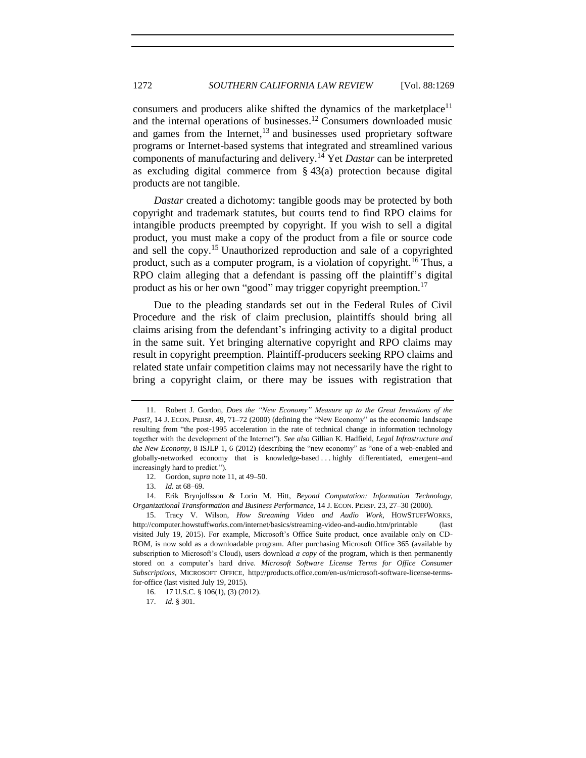<span id="page-3-0"></span>consumers and producers alike shifted the dynamics of the marketplace<sup>11</sup> and the internal operations of businesses.<sup>12</sup> Consumers downloaded music and games from the Internet,<sup>13</sup> and businesses used proprietary software programs or Internet-based systems that integrated and streamlined various components of manufacturing and delivery.<sup>14</sup> Yet *Dastar* can be interpreted as excluding digital commerce from § 43(a) protection because digital products are not tangible.

<span id="page-3-1"></span>*Dastar* created a dichotomy: tangible goods may be protected by both copyright and trademark statutes, but courts tend to find RPO claims for intangible products preempted by copyright. If you wish to sell a digital product, you must make a copy of the product from a file or source code and sell the copy.<sup>15</sup> Unauthorized reproduction and sale of a copyrighted product, such as a computer program, is a violation of copyright.<sup>16</sup> Thus, a RPO claim alleging that a defendant is passing off the plaintiff's digital product as his or her own "good" may trigger copyright preemption.<sup>17</sup>

Due to the pleading standards set out in the Federal Rules of Civil Procedure and the risk of claim preclusion, plaintiffs should bring all claims arising from the defendant's infringing activity to a digital product in the same suit. Yet bringing alternative copyright and RPO claims may result in copyright preemption. Plaintiff-producers seeking RPO claims and related state unfair competition claims may not necessarily have the right to bring a copyright claim, or there may be issues with registration that

<sup>11.</sup> Robert J. Gordon, *Does the "New Economy" Measure up to the Great Inventions of the Past*?, 14 J. ECON. PERSP. 49, 71–72 (2000) (defining the "New Economy" as the economic landscape resulting from "the post-1995 acceleration in the rate of technical change in information technology together with the development of the Internet"). *See also* Gillian K. Hadfield, *Legal Infrastructure and the New Economy*, 8 ISJLP 1, 6 (2012) (describing the "new economy" as "one of a web-enabled and globally-networked economy that is knowledge-based . . . highly differentiated, emergent–and increasingly hard to predict.").

<sup>12.</sup> Gordon, *supra* not[e 11,](#page-3-0) at [49](#page-2-0)[–50.](#page-10-0)

<sup>13.</sup> *Id.* at 68–69.

<sup>14.</sup> Erik Brynjolfsson & Lorin M. Hitt, *Beyond Computation: Information Technology*, *Organizational Transformation and Business Performance*, 14 J. ECON. PERSP. 23, 27–30 (2000).

<sup>15.</sup> Tracy V. Wilson, *How Streaming Video and Audio Work*, HOWSTUFFWORKS, http://computer.howstuffworks.com/internet/basics/streaming-video-and-audio.htm/printable (last visited July 19, 2015). For example, Microsoft's Office Suite product, once available only on CD-ROM, is now sold as a downloadable program. After purchasing Microsoft Office 365 (available by subscription to Microsoft's Cloud), users download *a copy* of the program, which is then permanently stored on a computer's hard drive. *Microsoft Software License Terms for Office Consumer Subscriptions*, MICROSOFT OFFICE, http://products.office.com/en-us/microsoft-software-license-termsfor-office (last visited July 19, 2015).

<sup>16.</sup> 17 U.S.C. § 106(1), (3) (2012).

<sup>17.</sup> *Id.* § 301.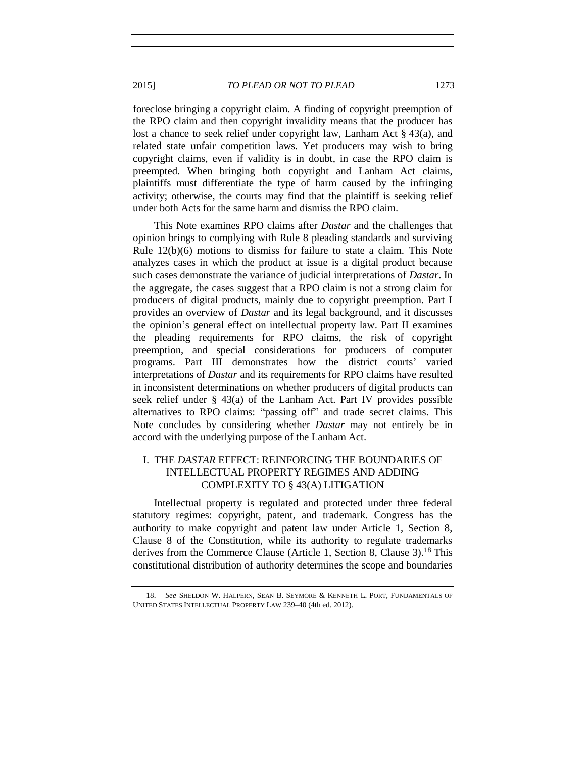foreclose bringing a copyright claim. A finding of copyright preemption of the RPO claim and then copyright invalidity means that the producer has lost a chance to seek relief under copyright law, Lanham Act § 43(a), and related state unfair competition laws. Yet producers may wish to bring copyright claims, even if validity is in doubt, in case the RPO claim is preempted. When bringing both copyright and Lanham Act claims, plaintiffs must differentiate the type of harm caused by the infringing activity; otherwise, the courts may find that the plaintiff is seeking relief under both Acts for the same harm and dismiss the RPO claim.

This Note examines RPO claims after *Dastar* and the challenges that opinion brings to complying with Rule 8 pleading standards and surviving Rule 12(b)(6) motions to dismiss for failure to state a claim. This Note analyzes cases in which the product at issue is a digital product because such cases demonstrate the variance of judicial interpretations of *Dastar*. In the aggregate, the cases suggest that a RPO claim is not a strong claim for producers of digital products, mainly due to copyright preemption. Part I provides an overview of *Dastar* and its legal background, and it discusses the opinion's general effect on intellectual property law. Part II examines the pleading requirements for RPO claims, the risk of copyright preemption, and special considerations for producers of computer programs. Part III demonstrates how the district courts' varied interpretations of *Dastar* and its requirements for RPO claims have resulted in inconsistent determinations on whether producers of digital products can seek relief under § 43(a) of the Lanham Act. Part IV provides possible alternatives to RPO claims: "passing off" and trade secret claims. This Note concludes by considering whether *Dastar* may not entirely be in accord with the underlying purpose of the Lanham Act.

# I. THE *DASTAR* EFFECT: REINFORCING THE BOUNDARIES OF INTELLECTUAL PROPERTY REGIMES AND ADDING COMPLEXITY TO § 43(A) LITIGATION

Intellectual property is regulated and protected under three federal statutory regimes: copyright, patent, and trademark. Congress has the authority to make copyright and patent law under Article 1, Section 8, Clause 8 of the Constitution, while its authority to regulate trademarks derives from the Commerce Clause (Article 1, Section 8, Clause 3).<sup>18</sup> This constitutional distribution of authority determines the scope and boundaries

<span id="page-4-0"></span><sup>18.</sup> *See* SHELDON W. HALPERN, SEAN B. SEYMORE & KENNETH L. PORT, FUNDAMENTALS OF UNITED STATES INTELLECTUAL PROPERTY LAW 239–40 (4th ed. 2012).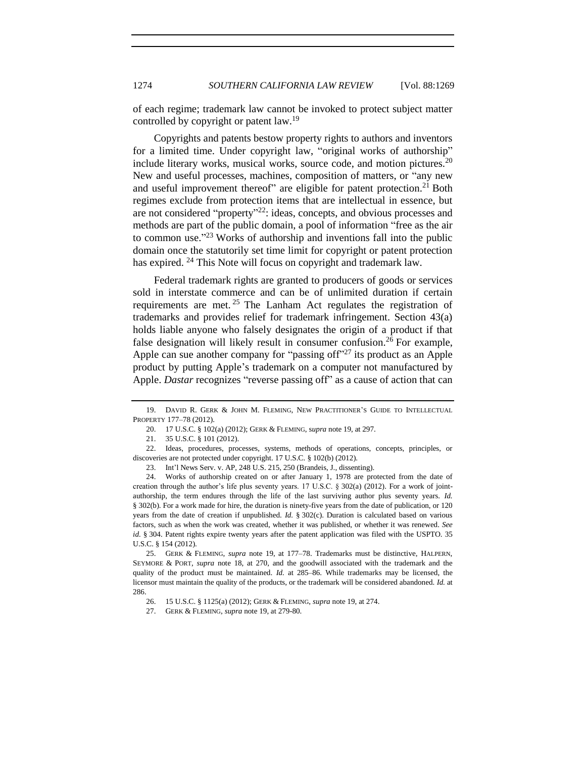<span id="page-5-0"></span>of each regime; trademark law cannot be invoked to protect subject matter controlled by copyright or patent law.<sup>19</sup>

Copyrights and patents bestow property rights to authors and inventors for a limited time. Under copyright law, "original works of authorship" include literary works, musical works, source code, and motion pictures. $20$ New and useful processes, machines, composition of matters, or "any new and useful improvement thereof" are eligible for patent protection.<sup>21</sup> Both regimes exclude from protection items that are intellectual in essence, but are not considered "property"<sup>22</sup>: ideas, concepts, and obvious processes and methods are part of the public domain, a pool of information "free as the air to common use."<sup>23</sup> Works of authorship and inventions fall into the public domain once the statutorily set time limit for copyright or patent protection has expired. <sup>24</sup> This Note will focus on copyright and trademark law.

Federal trademark rights are granted to producers of goods or services sold in interstate commerce and can be of unlimited duration if certain requirements are met.<sup>25</sup> The Lanham Act regulates the registration of trademarks and provides relief for trademark infringement. Section 43(a) holds liable anyone who falsely designates the origin of a product if that false designation will likely result in consumer confusion.<sup>26</sup> For example, Apple can sue another company for "passing of  $f^{\prime\prime}$ " its product as an Apple product by putting Apple's trademark on a computer not manufactured by Apple. *Dastar* recognizes "reverse passing off" as a cause of action that can

<sup>19.</sup> DAVID R. GERK & JOHN M. FLEMING, NEW PRACTITIONER'S GUIDE TO INTELLECTUAL PROPERTY 177–78 (2012).

<sup>20.</sup> 17 U.S.C. § 102(a) (2012); GERK & FLEMING, s*upra* not[e 19,](#page-5-0) at 297.

<sup>21.</sup> 35 U.S.C. § 101 (2012).

<sup>22.</sup> Ideas, procedures, processes, systems, methods of operations, concepts, principles, or discoveries are not protected under copyright. 17 U.S.C. § 102(b) (2012).

<sup>23.</sup> Int'l News Serv. v. AP, 248 U.S. 215, 250 (Brandeis, J., dissenting).

<sup>24.</sup> Works of authorship created on or after January 1, 1978 are protected from the date of creation through the author's life plus seventy years. 17 U.S.C. § 302(a) (2012). For a work of jointauthorship, the term endures through the life of the last surviving author plus seventy years. *Id.* § 302(b). For a work made for hire, the duration is ninety-five years from the date of publication, or 120 years from the date of creation if unpublished. *Id.* § 302(c). Duration is calculated based on various factors, such as when the work was created, whether it was published, or whether it was renewed. *See id.* § 304. Patent rights expire twenty years after the patent application was filed with the USPTO. 35 U.S.C. § 154 (2012).

<sup>25.</sup> GERK & FLEMING, *supra* note [19,](#page-5-0) at 177–78. Trademarks must be distinctive, HALPERN, SEYMORE & PORT, *supra* note [18,](#page-4-0) at 270, and the goodwill associated with the trademark and the quality of the product must be maintained. *Id.* at 285–86. While trademarks may be licensed, the licensor must maintain the quality of the products, or the trademark will be considered abandoned. *Id.* at 286.

<sup>26.</sup> 15 U.S.C. § 1125(a) (2012); GERK & FLEMING, *supra* not[e 19,](#page-5-0) at 274.

<sup>27.</sup> GERK & FLEMING, *supra* not[e 19,](#page-5-0) at 279-80.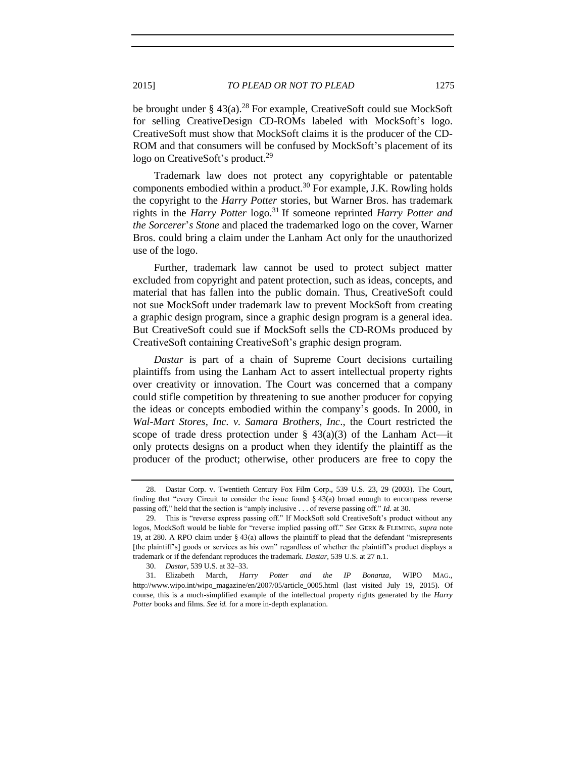be brought under  $\S$  43(a).<sup>28</sup> For example, CreativeSoft could sue MockSoft for selling CreativeDesign CD-ROMs labeled with MockSoft's logo. CreativeSoft must show that MockSoft claims it is the producer of the CD-ROM and that consumers will be confused by MockSoft's placement of its logo on CreativeSoft's product.<sup>29</sup>

Trademark law does not protect any copyrightable or patentable components embodied within a product.<sup>30</sup> For example, J.K. Rowling holds the copyright to the *Harry Potter* stories, but Warner Bros. has trademark rights in the *Harry Potter* logo.<sup>31</sup> If someone reprinted *Harry Potter and the Sorcerer*'*s Stone* and placed the trademarked logo on the cover, Warner Bros. could bring a claim under the Lanham Act only for the unauthorized use of the logo.

Further, trademark law cannot be used to protect subject matter excluded from copyright and patent protection, such as ideas, concepts, and material that has fallen into the public domain. Thus, CreativeSoft could not sue MockSoft under trademark law to prevent MockSoft from creating a graphic design program, since a graphic design program is a general idea. But CreativeSoft could sue if MockSoft sells the CD-ROMs produced by CreativeSoft containing CreativeSoft's graphic design program.

*Dastar* is part of a chain of Supreme Court decisions curtailing plaintiffs from using the Lanham Act to assert intellectual property rights over creativity or innovation. The Court was concerned that a company could stifle competition by threatening to sue another producer for copying the ideas or concepts embodied within the company's goods. In 2000, in *Wal-Mart Stores, Inc. v. Samara Brothers, Inc*., the Court restricted the scope of trade dress protection under  $\S$  43(a)(3) of the Lanham Act—it only protects designs on a product when they identify the plaintiff as the producer of the product; otherwise, other producers are free to copy the

<sup>28.</sup> Dastar Corp. v. Twentieth Century Fox Film Corp., 539 U.S. 23, 29 (2003). The Court, finding that "every Circuit to consider the issue found § 43(a) broad enough to encompass reverse passing off," held that the section is "amply inclusive . . . of reverse passing off." *Id.* at 30.

<sup>29.</sup> This is "reverse express passing off." If MockSoft sold CreativeSoft's product without any logos, MockSoft would be liable for "reverse implied passing off." *See* GERK & FLEMING, *supra* note [19,](#page-5-0) at 280. A RPO claim under § 43(a) allows the plaintiff to plead that the defendant "misrepresents [the plaintiff's] goods or services as his own" regardless of whether the plaintiff's product displays a trademark or if the defendant reproduces the trademark. *Dastar*, 539 U.S. at 27 n.1.

<sup>30.</sup> *Dastar*, 539 U.S. at 32–33.

<sup>31.</sup> Elizabeth March, *Harry Potter and the IP Bonanza*, WIPO MAG., http://www.wipo.int/wipo\_magazine/en/2007/05/article\_0005.html (last visited July 19, 2015). Of course, this is a much-simplified example of the intellectual property rights generated by the *Harry Potter* books and films. *See id.* for a more in-depth explanation.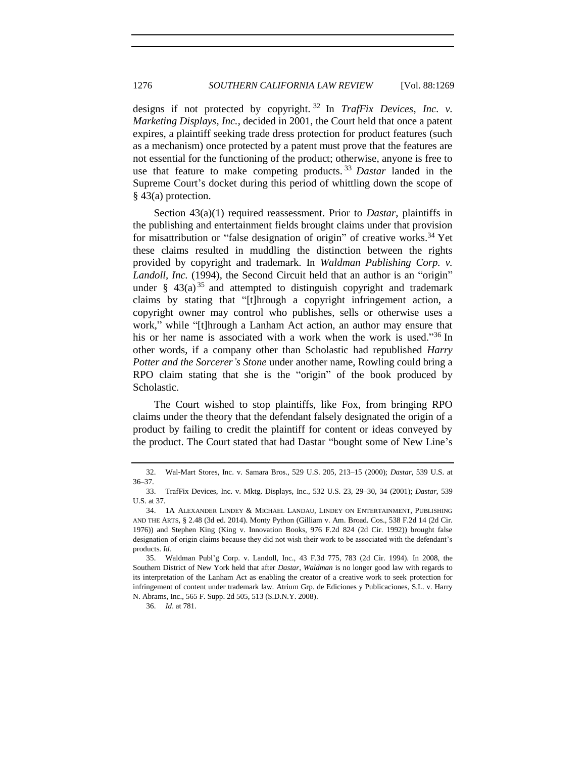designs if not protected by copyright. <sup>32</sup> In *TrafFix Devices, Inc. v. Marketing Displays, Inc.*, decided in 2001, the Court held that once a patent expires, a plaintiff seeking trade dress protection for product features (such as a mechanism) once protected by a patent must prove that the features are not essential for the functioning of the product; otherwise, anyone is free to use that feature to make competing products. <sup>33</sup> *Dastar* landed in the Supreme Court's docket during this period of whittling down the scope of § 43(a) protection.

Section 43(a)(1) required reassessment. Prior to *Dastar*, plaintiffs in the publishing and entertainment fields brought claims under that provision for misattribution or "false designation of origin" of creative works.<sup>34</sup> Yet these claims resulted in muddling the distinction between the rights provided by copyright and trademark. In *Waldman Publishing Corp. v. Landoll, Inc.* (1994), the Second Circuit held that an author is an "origin" under §  $43(a)^{35}$  and attempted to distinguish copyright and trademark claims by stating that "[t]hrough a copyright infringement action, a copyright owner may control who publishes, sells or otherwise uses a work," while "[t]hrough a Lanham Act action, an author may ensure that his or her name is associated with a work when the work is used." <sup>36</sup> In other words, if a company other than Scholastic had republished *Harry Potter and the Sorcerer's Stone* under another name, Rowling could bring a RPO claim stating that she is the "origin" of the book produced by Scholastic.

The Court wished to stop plaintiffs, like Fox, from bringing RPO claims under the theory that the defendant falsely designated the origin of a product by failing to credit the plaintiff for content or ideas conveyed by the product. The Court stated that had Dastar "bought some of New Line's

36. *Id*. at 781.

<sup>32.</sup> Wal-Mart Stores, Inc. v. Samara Bros., 529 U.S. 205, 213–15 (2000); *Dastar*, 539 U.S. at 36–37.

<sup>33.</sup> TrafFix Devices, Inc. v. Mktg. Displays, Inc., 532 U.S. 23, 29–30, 34 (2001); *Dastar*, 539 U.S. at 37.

<sup>34.</sup> 1A ALEXANDER LINDEY & MICHAEL LANDAU, LINDEY ON ENTERTAINMENT, PUBLISHING AND THE ARTS, § 2.48 (3d ed. 2014). Monty Python (Gilliam v. Am. Broad. Cos., 538 F.2d 14 (2d Cir. 1976)) and Stephen King (King v. Innovation Books, 976 F.2d 824 (2d Cir. 1992)) brought false designation of origin claims because they did not wish their work to be associated with the defendant's products. *Id.*

<sup>35.</sup> Waldman Publ'g Corp. v. Landoll, Inc., 43 F.3d 775, 783 (2d Cir. 1994). In 2008, the Southern District of New York held that after *Dastar*, *Waldman* is no longer good law with regards to its interpretation of the Lanham Act as enabling the creator of a creative work to seek protection for infringement of content under trademark law. Atrium Grp. de Ediciones y Publicaciones, S.L. v. Harry N. Abrams, Inc., 565 F. Supp. 2d 505, 513 (S.D.N.Y. 2008).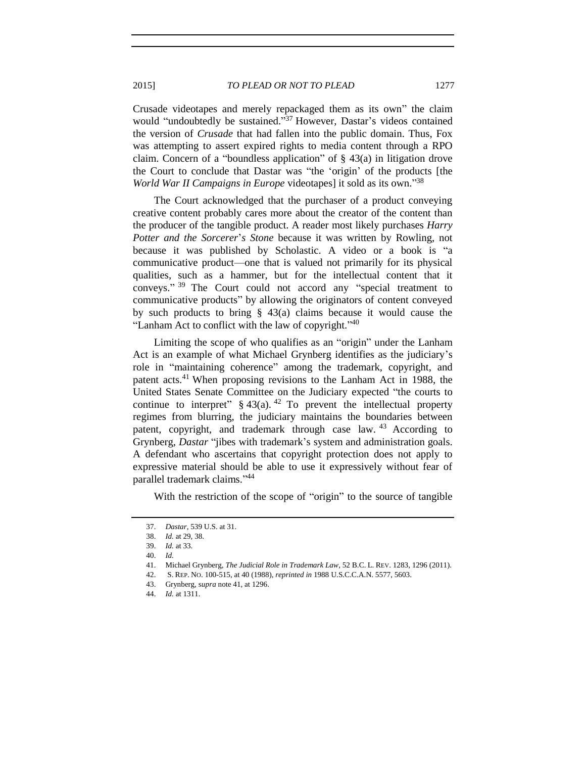Crusade videotapes and merely repackaged them as its own" the claim would "undoubtedly be sustained." <sup>37</sup> However, Dastar's videos contained the version of *Crusade* that had fallen into the public domain. Thus, Fox was attempting to assert expired rights to media content through a RPO claim. Concern of a "boundless application" of  $\S$  43(a) in litigation drove the Court to conclude that Dastar was "the 'origin' of the products [the *World War II Campaigns in Europe* videotapes] it sold as its own." 38

The Court acknowledged that the purchaser of a product conveying creative content probably cares more about the creator of the content than the producer of the tangible product. A reader most likely purchases *Harry Potter and the Sorcerer*'*s Stone* because it was written by Rowling, not because it was published by Scholastic. A video or a book is "a communicative product—one that is valued not primarily for its physical qualities, such as a hammer, but for the intellectual content that it conveys."<sup>39</sup> The Court could not accord any "special treatment to communicative products" by allowing the originators of content conveyed by such products to bring § 43(a) claims because it would cause the "Lanham Act to conflict with the law of copyright."<sup>40</sup>

<span id="page-8-0"></span>Limiting the scope of who qualifies as an "origin" under the Lanham Act is an example of what Michael Grynberg identifies as the judiciary's role in "maintaining coherence" among the trademark, copyright, and patent acts.<sup>41</sup> When proposing revisions to the Lanham Act in 1988, the United States Senate Committee on the Judiciary expected "the courts to continue to interpret"  $§$  43(a).<sup>42</sup> To prevent the intellectual property regimes from blurring, the judiciary maintains the boundaries between patent, copyright, and trademark through case law. <sup>43</sup> According to Grynberg, *Dastar* "jibes with trademark's system and administration goals. A defendant who ascertains that copyright protection does not apply to expressive material should be able to use it expressively without fear of parallel trademark claims." 44

With the restriction of the scope of "origin" to the source of tangible

43. Grynberg, s*upra* not[e 41,](#page-8-0) at 1296.

<sup>37.</sup> *Dastar*, 539 U.S. at 31.

<sup>38.</sup> *Id.* at 29, 38.

<sup>39.</sup> *Id.* at 33.

<sup>40.</sup> *Id.*

<sup>41.</sup> Michael Grynberg, *The Judicial Role in Trademark Law*, 52 B.C. L. REV. 1283, 1296 (2011).

<sup>42.</sup> S. REP. NO. 100-515, at 40 (1988), *reprinted in* 1988 U.S.C.C.A.N. 5577, 5603.

<sup>44.</sup> *Id.* at 1311.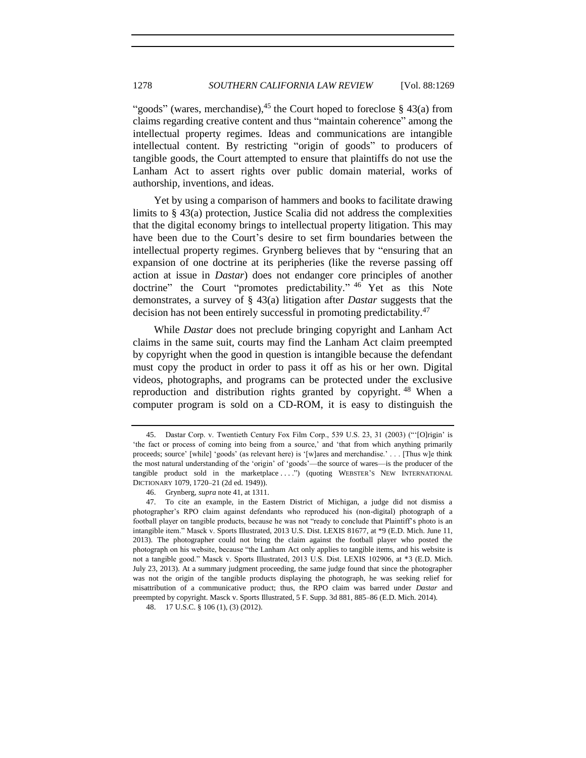"goods" (wares, merchandise),  $45$  the Court hoped to foreclose § 43(a) from claims regarding creative content and thus "maintain coherence" among the intellectual property regimes. Ideas and communications are intangible intellectual content. By restricting "origin of goods" to producers of tangible goods, the Court attempted to ensure that plaintiffs do not use the Lanham Act to assert rights over public domain material, works of authorship, inventions, and ideas.

Yet by using a comparison of hammers and books to facilitate drawing limits to § 43(a) protection, Justice Scalia did not address the complexities that the digital economy brings to intellectual property litigation. This may have been due to the Court's desire to set firm boundaries between the intellectual property regimes. Grynberg believes that by "ensuring that an expansion of one doctrine at its peripheries (like the reverse passing off action at issue in *Dastar*) does not endanger core principles of another doctrine" the Court "promotes predictability." <sup>46</sup> Yet as this Note demonstrates, a survey of § 43(a) litigation after *Dastar* suggests that the decision has not been entirely successful in promoting predictability.<sup>47</sup>

While *Dastar* does not preclude bringing copyright and Lanham Act claims in the same suit, courts may find the Lanham Act claim preempted by copyright when the good in question is intangible because the defendant must copy the product in order to pass it off as his or her own. Digital videos, photographs, and programs can be protected under the exclusive reproduction and distribution rights granted by copyright.<sup>48</sup> When a computer program is sold on a CD-ROM, it is easy to distinguish the

<sup>45.</sup> Dastar Corp. v. Twentieth Century Fox Film Corp., 539 U.S. 23, 31 (2003) ("'[O]rigin' is 'the fact or process of coming into being from a source,' and 'that from which anything primarily proceeds; source' [while] 'goods' (as relevant here) is '[w]ares and merchandise.' . . . [Thus w]e think the most natural understanding of the 'origin' of 'goods'—the source of wares—is the producer of the tangible product sold in the marketplace . . . .") (quoting WEBSTER'S NEW INTERNATIONAL DICTIONARY 1079, 1720–21 (2d ed. 1949)).

<sup>46.</sup> Grynberg, *supra* not[e 41,](#page-8-0) at 1311.

<sup>47.</sup> To cite an example, in the Eastern District of Michigan, a judge did not dismiss a photographer's RPO claim against defendants who reproduced his (non-digital) photograph of a football player on tangible products, because he was not "ready to conclude that Plaintiff's photo is an intangible item." Masck v. Sports Illustrated, 2013 U.S. Dist. LEXIS 81677, at \*9 (E.D. Mich. June 11, 2013). The photographer could not bring the claim against the football player who posted the photograph on his website, because "the Lanham Act only applies to tangible items, and his website is not a tangible good." Masck v. Sports Illustrated, 2013 U.S. Dist. LEXIS 102906, at \*3 (E.D. Mich. July 23, 2013). At a summary judgment proceeding, the same judge found that since the photographer was not the origin of the tangible products displaying the photograph, he was seeking relief for misattribution of a communicative product; thus, the RPO claim was barred under *Dastar* and preempted by copyright. Masck v. Sports Illustrated, 5 F. Supp. 3d 881, 885–86 (E.D. Mich. 2014).

<sup>48.</sup> 17 U.S.C. § 106 (1), (3) (2012).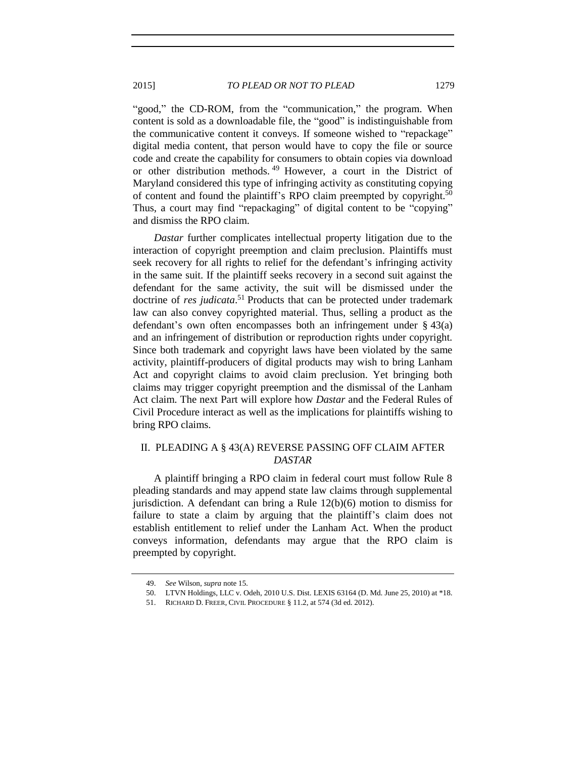"good," the CD-ROM, from the "communication," the program. When content is sold as a downloadable file, the "good" is indistinguishable from the communicative content it conveys. If someone wished to "repackage" digital media content, that person would have to copy the file or source code and create the capability for consumers to obtain copies via download or other distribution methods. <sup>49</sup> However, a court in the District of Maryland considered this type of infringing activity as constituting copying of content and found the plaintiff's RPO claim preempted by copyright.<sup>50</sup> Thus, a court may find "repackaging" of digital content to be "copying" and dismiss the RPO claim.

<span id="page-10-1"></span><span id="page-10-0"></span>*Dastar* further complicates intellectual property litigation due to the interaction of copyright preemption and claim preclusion. Plaintiffs must seek recovery for all rights to relief for the defendant's infringing activity in the same suit. If the plaintiff seeks recovery in a second suit against the defendant for the same activity, the suit will be dismissed under the doctrine of *res judicata*. <sup>51</sup> Products that can be protected under trademark law can also convey copyrighted material. Thus, selling a product as the defendant's own often encompasses both an infringement under § 43(a) and an infringement of distribution or reproduction rights under copyright. Since both trademark and copyright laws have been violated by the same activity, plaintiff-producers of digital products may wish to bring Lanham Act and copyright claims to avoid claim preclusion. Yet bringing both claims may trigger copyright preemption and the dismissal of the Lanham Act claim. The next Part will explore how *Dastar* and the Federal Rules of Civil Procedure interact as well as the implications for plaintiffs wishing to bring RPO claims.

# II. PLEADING A § 43(A) REVERSE PASSING OFF CLAIM AFTER *DASTAR*

A plaintiff bringing a RPO claim in federal court must follow Rule 8 pleading standards and may append state law claims through supplemental jurisdiction. A defendant can bring a Rule 12(b)(6) motion to dismiss for failure to state a claim by arguing that the plaintiff's claim does not establish entitlement to relief under the Lanham Act. When the product conveys information, defendants may argue that the RPO claim is preempted by copyright.

<sup>49.</sup> *See* Wilson, *supra* not[e 15.](#page-3-1)

<sup>50.</sup> LTVN Holdings, LLC v. Odeh, 2010 U.S. Dist. LEXIS 63164 (D. Md. June 25, 2010) at \*18.

<sup>51.</sup> RICHARD D. FREER, CIVIL PROCEDURE § 11.2, at 574 (3d ed. 2012).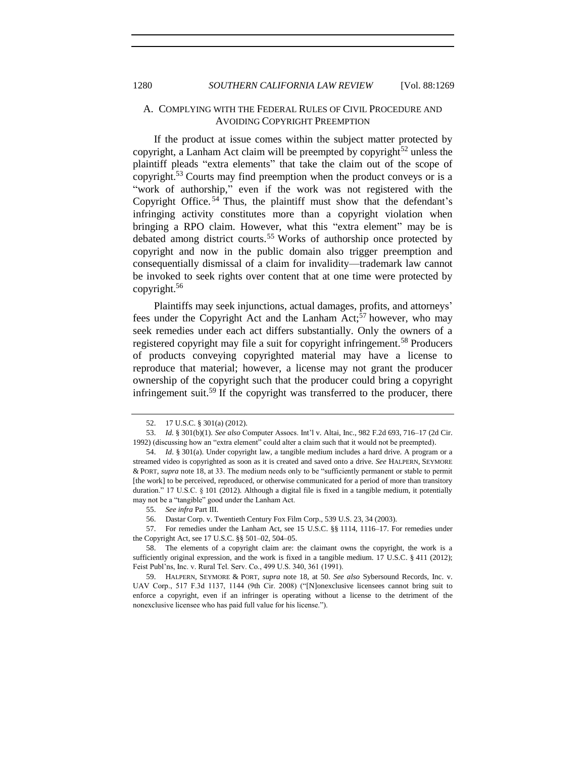# A. COMPLYING WITH THE FEDERAL RULES OF CIVIL PROCEDURE AND AVOIDING COPYRIGHT PREEMPTION

If the product at issue comes within the subject matter protected by copyright, a Lanham Act claim will be preempted by copyright<sup>52</sup> unless the plaintiff pleads "extra elements" that take the claim out of the scope of copyright.<sup>53</sup> Courts may find preemption when the product conveys or is a "work of authorship," even if the work was not registered with the Copyright Office. <sup>54</sup> Thus, the plaintiff must show that the defendant's infringing activity constitutes more than a copyright violation when bringing a RPO claim. However, what this "extra element" may be is debated among district courts.<sup>55</sup> Works of authorship once protected by copyright and now in the public domain also trigger preemption and consequentially dismissal of a claim for invalidity—trademark law cannot be invoked to seek rights over content that at one time were protected by copyright.<sup>56</sup>

Plaintiffs may seek injunctions, actual damages, profits, and attorneys' fees under the Copyright Act and the Lanham  $Act<sub>1</sub>57$  however, who may seek remedies under each act differs substantially. Only the owners of a registered copyright may file a suit for copyright infringement.<sup>58</sup> Producers of products conveying copyrighted material may have a license to reproduce that material; however, a license may not grant the producer ownership of the copyright such that the producer could bring a copyright infringement suit.<sup>59</sup> If the copyright was transferred to the producer, there

<sup>52.</sup> 17 U.S.C. § 301(a) (2012).

<sup>53.</sup> *Id.* § 301(b)(1). *See also* Computer Assocs. Int'l v. Altai, Inc., 982 F.2d 693, 716–17 (2d Cir. 1992) (discussing how an "extra element" could alter a claim such that it would not be preempted).

<sup>54.</sup> *Id*. § 301(a). Under copyright law, a tangible medium includes a hard drive. A program or a streamed video is copyrighted as soon as it is created and saved onto a drive. *See* HALPERN, SEYMORE & PORT, *supra* note [18,](#page-4-0) at 33. The medium needs only to be "sufficiently permanent or stable to permit [the work] to be perceived, reproduced, or otherwise communicated for a period of more than transitory duration." 17 U.S.C. § 101 (2012). Although a digital file is fixed in a tangible medium, it potentially may not be a "tangible" good under the Lanham Act.

<sup>55.</sup> *See infra* Part III.

<sup>56.</sup> Dastar Corp. v. Twentieth Century Fox Film Corp., 539 U.S. 23, 34 (2003).

<sup>57.</sup> For remedies under the Lanham Act, see 15 U.S.C. §§ 1114, 1116–17. For remedies under the Copyright Act, see 17 U.S.C. §§ 501–02, 504–05.

<sup>58.</sup> The elements of a copyright claim are: the claimant owns the copyright, the work is a sufficiently original expression, and the work is fixed in a tangible medium. 17 U.S.C. § 411 (2012); Feist Publ'ns, Inc. v. Rural Tel. Serv. Co., 499 U.S. 340, 361 (1991).

<sup>59.</sup> HALPERN, SEYMORE & PORT, *supra* note [18,](#page-4-0) at 50. *See also* Sybersound Records, Inc. v. UAV Corp., 517 F.3d 1137, 1144 (9th Cir. 2008) ("[N]onexclusive licensees cannot bring suit to enforce a copyright, even if an infringer is operating without a license to the detriment of the nonexclusive licensee who has paid full value for his license.").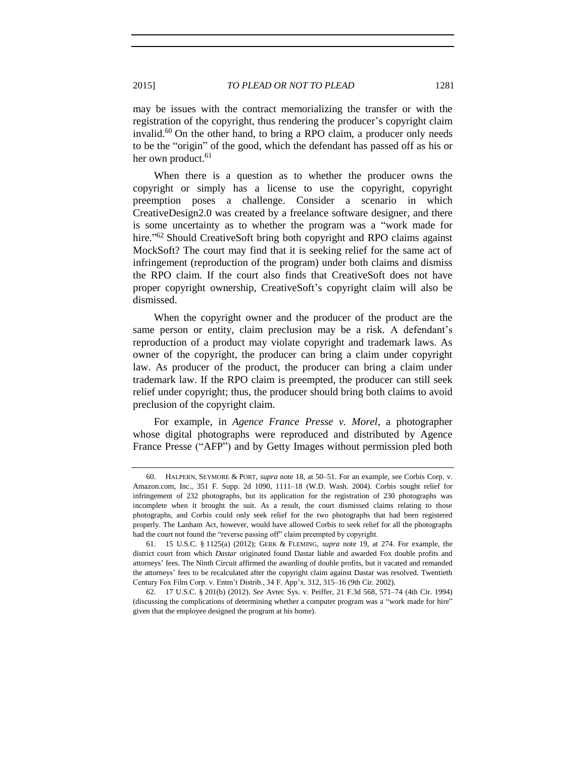may be issues with the contract memorializing the transfer or with the registration of the copyright, thus rendering the producer's copyright claim invalid.<sup>60</sup> On the other hand, to bring a RPO claim, a producer only needs to be the "origin" of the good, which the defendant has passed off as his or her own product.<sup>61</sup>

When there is a question as to whether the producer owns the copyright or simply has a license to use the copyright, copyright preemption poses a challenge. Consider a scenario in which CreativeDesign2.0 was created by a freelance software designer, and there is some uncertainty as to whether the program was a "work made for hire."<sup>62</sup> Should CreativeSoft bring both copyright and RPO claims against MockSoft? The court may find that it is seeking relief for the same act of infringement (reproduction of the program) under both claims and dismiss the RPO claim. If the court also finds that CreativeSoft does not have proper copyright ownership, CreativeSoft's copyright claim will also be dismissed.

When the copyright owner and the producer of the product are the same person or entity, claim preclusion may be a risk. A defendant's reproduction of a product may violate copyright and trademark laws. As owner of the copyright, the producer can bring a claim under copyright law. As producer of the product, the producer can bring a claim under trademark law. If the RPO claim is preempted, the producer can still seek relief under copyright; thus, the producer should bring both claims to avoid preclusion of the copyright claim.

For example, in *Agence France Presse v. Morel*, a photographer whose digital photographs were reproduced and distributed by Agence France Presse ("AFP") and by Getty Images without permission pled both

<sup>60.</sup> HALPERN, SEYMORE & PORT, *supra* note [18,](#page-4-0) at 50–51. For an example, see Corbis Corp. v. Amazon.com, Inc., 351 F. Supp. 2d 1090, 1111–18 (W.D. Wash. 2004). Corbis sought relief for infringement of 232 photographs, but its application for the registration of 230 photographs was incomplete when it brought the suit. As a result, the court dismissed claims relating to those photographs, and Corbis could only seek relief for the two photographs that had been registered properly. The Lanham Act, however, would have allowed Corbis to seek relief for all the photographs had the court not found the "reverse passing off" claim preempted by copyright.

<sup>61.</sup> 15 U.S.C. § 1125(a) (2012); GERK & FLEMING, *supra* note [19,](#page-5-0) at 274. For example, the district court from which *Dastar* originated found Dastar liable and awarded Fox double profits and attorneys' fees. The Ninth Circuit affirmed the awarding of double profits, but it vacated and remanded the attorneys' fees to be recalculated after the copyright claim against Dastar was resolved. Twentieth Century Fox Film Corp. v. Entm't Distrib., 34 F. App'x. 312, 315–16 (9th Cir. 2002).

<sup>62.</sup> 17 U.S.C. § 201(b) (2012). *See* Avtec Sys. v. Peiffer, 21 F.3d 568, 571–74 (4th Cir. 1994) (discussing the complications of determining whether a computer program was a "work made for hire" given that the employee designed the program at his home).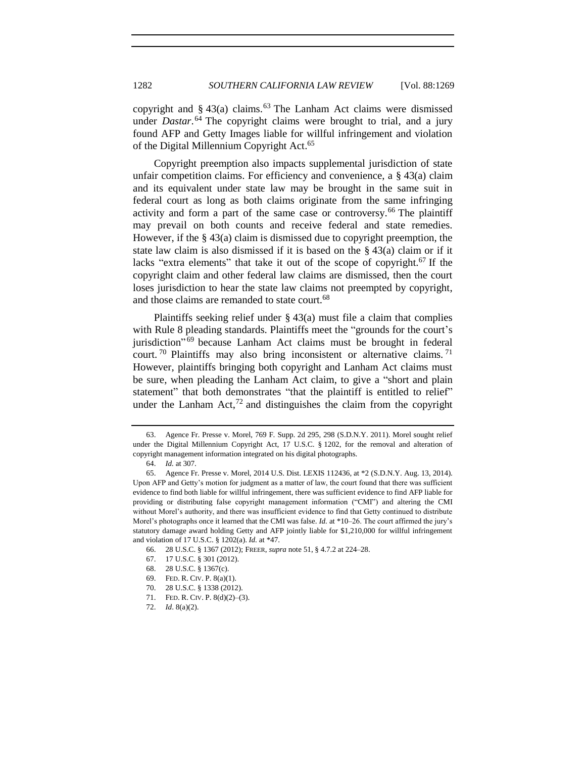copyright and  $\S$  43(a) claims.<sup>63</sup> The Lanham Act claims were dismissed under *Dastar*. <sup>64</sup> The copyright claims were brought to trial, and a jury found AFP and Getty Images liable for willful infringement and violation of the Digital Millennium Copyright Act.<sup>65</sup>

Copyright preemption also impacts supplemental jurisdiction of state unfair competition claims. For efficiency and convenience, a  $\S$  43(a) claim and its equivalent under state law may be brought in the same suit in federal court as long as both claims originate from the same infringing activity and form a part of the same case or controversy.<sup>66</sup> The plaintiff may prevail on both counts and receive federal and state remedies. However, if the § 43(a) claim is dismissed due to copyright preemption, the state law claim is also dismissed if it is based on the § 43(a) claim or if it lacks "extra elements" that take it out of the scope of copyright.<sup>67</sup> If the copyright claim and other federal law claims are dismissed, then the court loses jurisdiction to hear the state law claims not preempted by copyright, and those claims are remanded to state court.<sup>68</sup>

Plaintiffs seeking relief under  $\S$  43(a) must file a claim that complies with Rule 8 pleading standards. Plaintiffs meet the "grounds for the court's jurisdiction" <sup>69</sup> because Lanham Act claims must be brought in federal court.<sup>70</sup> Plaintiffs may also bring inconsistent or alternative claims.<sup>71</sup> However, plaintiffs bringing both copyright and Lanham Act claims must be sure, when pleading the Lanham Act claim, to give a "short and plain statement" that both demonstrates "that the plaintiff is entitled to relief" under the Lanham Act, $^{72}$  and distinguishes the claim from the copyright

<sup>63.</sup> Agence Fr. Presse v. Morel, 769 F. Supp. 2d 295, 298 (S.D.N.Y. 2011). Morel sought relief under the Digital Millennium Copyright Act, 17 U.S.C. § 1202, for the removal and alteration of copyright management information integrated on his digital photographs.

<sup>64.</sup> *Id.* at 307.

<sup>65.</sup> Agence Fr. Presse v. Morel, 2014 U.S. Dist. LEXIS 112436, at \*2 (S.D.N.Y. Aug. 13, 2014). Upon AFP and Getty's motion for judgment as a matter of law, the court found that there was sufficient evidence to find both liable for willful infringement, there was sufficient evidence to find AFP liable for providing or distributing false copyright management information ("CMI") and altering the CMI without Morel's authority, and there was insufficient evidence to find that Getty continued to distribute Morel's photographs once it learned that the CMI was false. *Id.* at \*10–26. The court affirmed the jury's statutory damage award holding Getty and AFP jointly liable for \$1,210,000 for willful infringement and violation of 17 U.S.C. § 1202(a). *Id.* at \*47.

<sup>66.</sup> 28 U.S.C. § 1367 (2012); FREER, *supra* not[e 51,](#page-10-1) § 4.7.2 at 224–28.

<sup>67.</sup> 17 U.S.C. § 301 (2012).

<sup>68.</sup> 28 U.S.C. § 1367(c).

<sup>69.</sup> FED. R. CIV. P. 8(a)(1).

<sup>70.</sup> 28 U.S.C. § 1338 (2012).

<sup>71.</sup> FED. R. CIV. P. 8(d)(2)–(3).

<sup>72.</sup> *Id*. 8(a)(2).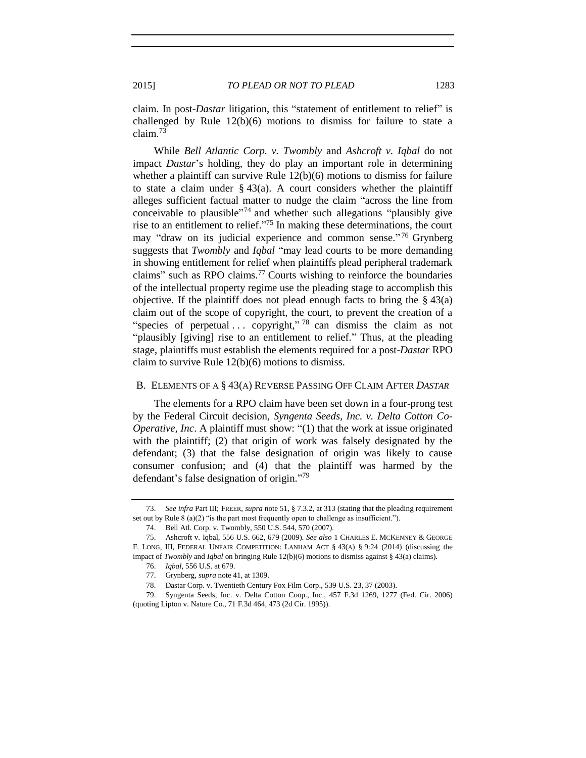claim. In post-*Dastar* litigation, this "statement of entitlement to relief" is challenged by Rule 12(b)(6) motions to dismiss for failure to state a claim.<sup>73</sup>

While *Bell Atlantic Corp. v. Twombly* and *Ashcroft v. Iqbal* do not impact *Dastar*'s holding, they do play an important role in determining whether a plaintiff can survive Rule 12(b)(6) motions to dismiss for failure to state a claim under  $\S 43(a)$ . A court considers whether the plaintiff alleges sufficient factual matter to nudge the claim "across the line from conceivable to plausible<sup>774</sup> and whether such allegations "plausibly give rise to an entitlement to relief."<sup>75</sup> In making these determinations, the court may "draw on its judicial experience and common sense."<sup>76</sup> Grynberg suggests that *Twombly* and *Iqbal* "may lead courts to be more demanding in showing entitlement for relief when plaintiffs plead peripheral trademark claims" such as RPO claims.<sup>77</sup> Courts wishing to reinforce the boundaries of the intellectual property regime use the pleading stage to accomplish this objective. If the plaintiff does not plead enough facts to bring the  $\S 43(a)$ claim out of the scope of copyright, the court, to prevent the creation of a "species of perpetual ... copyright,"  $78$  can dismiss the claim as not "plausibly [giving] rise to an entitlement to relief." Thus, at the pleading stage, plaintiffs must establish the elements required for a post-*Dastar* RPO claim to survive Rule 12(b)(6) motions to dismiss.

#### B. ELEMENTS OF A § 43(A) REVERSE PASSING OFF CLAIM AFTER *DASTAR*

The elements for a RPO claim have been set down in a four-prong test by the Federal Circuit decision, *Syngenta Seeds, Inc. v. Delta Cotton Co-Operative, Inc*. A plaintiff must show: "(1) that the work at issue originated with the plaintiff; (2) that origin of work was falsely designated by the defendant; (3) that the false designation of origin was likely to cause consumer confusion; and (4) that the plaintiff was harmed by the defendant's false designation of origin."<sup>79</sup>

<sup>73.</sup> *See infra* Part III; FREER, *supra* not[e 51,](#page-10-1) § 7.3.2, at 313 (stating that the pleading requirement set out by Rule 8 (a)(2) "is the part most frequently open to challenge as insufficient.").

<sup>74.</sup> Bell Atl. Corp. v. Twombly, 550 U.S. 544, 570 (2007).

<sup>75.</sup> Ashcroft v. Iqbal, 556 U.S. 662, 679 (2009). *See also* 1 CHARLES E. MCKENNEY & GEORGE F. LONG, III, FEDERAL UNFAIR COMPETITION: LANHAM ACT § 43(A) § 9:24 (2014) (discussing the impact of *Twombly* and *Iqbal* on bringing Rule 12(b)(6) motions to dismiss against § 43(a) claims).

<sup>76.</sup> *Iqbal*, 556 U.S. at 679.

<sup>77.</sup> Grynberg, *supra* not[e 41,](#page-8-0) at 1309.

<sup>78.</sup> Dastar Corp. v. Twentieth Century Fox Film Corp., 539 U.S. 23, 37 (2003).

<sup>79.</sup> Syngenta Seeds, Inc. v. Delta Cotton Coop., Inc., 457 F.3d 1269, 1277 (Fed. Cir. 2006) (quoting Lipton v. Nature Co., 71 F.3d 464, 473 (2d Cir. 1995)).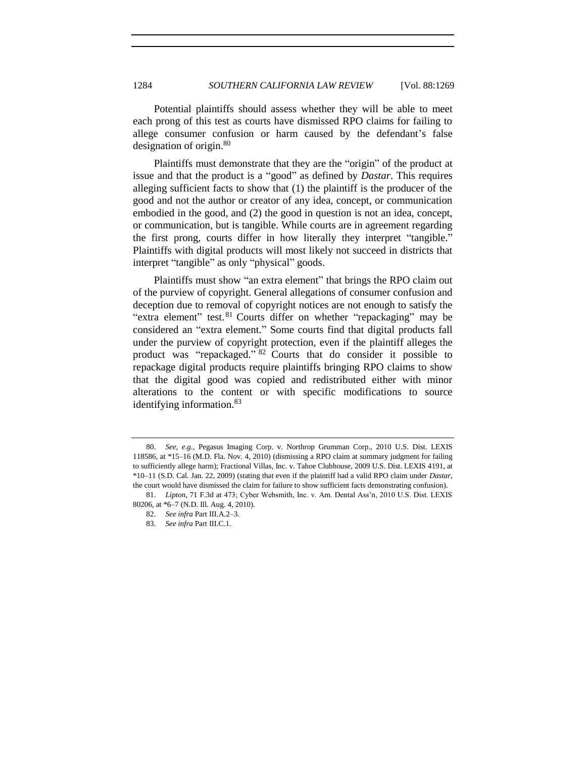Potential plaintiffs should assess whether they will be able to meet each prong of this test as courts have dismissed RPO claims for failing to allege consumer confusion or harm caused by the defendant's false designation of origin. $80$ 

Plaintiffs must demonstrate that they are the "origin" of the product at issue and that the product is a "good" as defined by *Dastar*. This requires alleging sufficient facts to show that (1) the plaintiff is the producer of the good and not the author or creator of any idea, concept, or communication embodied in the good, and (2) the good in question is not an idea, concept, or communication, but is tangible. While courts are in agreement regarding the first prong, courts differ in how literally they interpret "tangible." Plaintiffs with digital products will most likely not succeed in districts that interpret "tangible" as only "physical" goods.

Plaintiffs must show "an extra element" that brings the RPO claim out of the purview of copyright. General allegations of consumer confusion and deception due to removal of copyright notices are not enough to satisfy the "extra element" test.<sup>81</sup> Courts differ on whether "repackaging" may be considered an "extra element." Some courts find that digital products fall under the purview of copyright protection, even if the plaintiff alleges the product was "repackaged." <sup>82</sup> Courts that do consider it possible to repackage digital products require plaintiffs bringing RPO claims to show that the digital good was copied and redistributed either with minor alterations to the content or with specific modifications to source identifying information.<sup>83</sup>

<sup>80.</sup> *See*, *e*.*g*., Pegasus Imaging Corp. v. Northrop Grumman Corp., 2010 U.S. Dist. LEXIS 118586, at \*15–16 (M.D. Fla. Nov. 4, 2010) (dismissing a RPO claim at summary judgment for failing to sufficiently allege harm); Fractional Villas, Inc. v. Tahoe Clubhouse, 2009 U.S. Dist. LEXIS 4191, at \*10–11 (S.D. Cal. Jan. 22, 2009) (stating that even if the plaintiff had a valid RPO claim under *Dastar*, the court would have dismissed the claim for failure to show sufficient facts demonstrating confusion).

<sup>81.</sup> *Lipton*, 71 F.3d at 473; Cyber Websmith, Inc. v. Am. Dental Ass'n, 2010 U.S. Dist. LEXIS 80206, at \*6–7 (N.D. Ill. Aug. 4, 2010).

<sup>82.</sup> *See infra* Part III.A.2–3.

<sup>83.</sup> *See infra* Part III.C.1.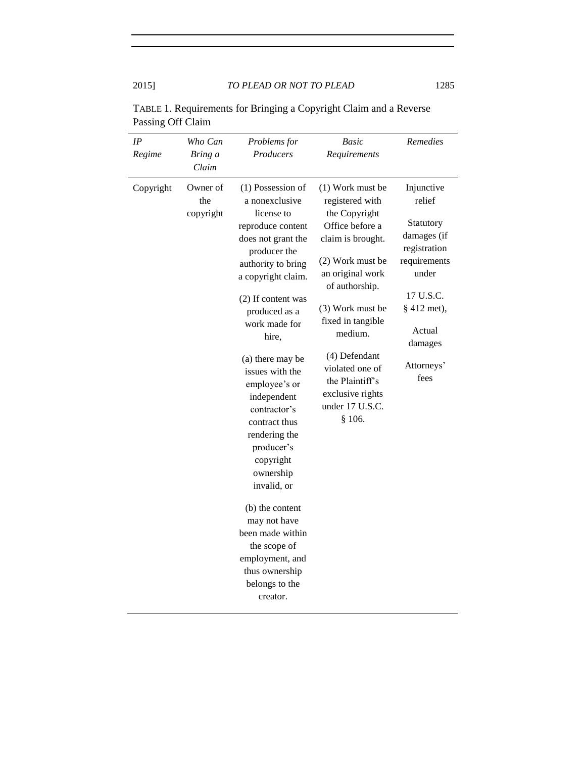| (1) Possession of<br>Owner of<br>(1) Work must be<br>Injunctive<br>Copyright<br>a nonexclusive<br>relief<br>the<br>registered with<br>copyright<br>license to<br>the Copyright<br>Statutory<br>Office before a<br>reproduce content<br>damages (if<br>does not grant the<br>claim is brought.<br>registration<br>producer the<br>(2) Work must be<br>requirements<br>authority to bring<br>under<br>an original work<br>a copyright claim.<br>of authorship.<br>17 U.S.C.<br>(2) If content was<br>(3) Work must be<br>§ 412 met),<br>produced as a<br>fixed in tangible<br>work made for<br>Actual<br>medium.<br>hire,<br>damages<br>(4) Defendant<br>(a) there may be<br>Attorneys'<br>violated one of<br>issues with the<br>fees<br>the Plaintiff's<br>employee's or<br>exclusive rights<br>independent<br>under 17 U.S.C.<br>contractor's<br>\$106.<br>contract thus<br>rendering the<br>producer's<br>copyright<br>ownership<br>invalid, or<br>(b) the content<br>may not have<br>been made within<br>the scope of<br>employment, and<br>thus ownership<br>belongs to the<br>creator. | IP<br>Regime | Who Can<br>Bring a<br>Claim | Problems for<br>Producers | Basic<br>Requirements | Remedies |
|--------------------------------------------------------------------------------------------------------------------------------------------------------------------------------------------------------------------------------------------------------------------------------------------------------------------------------------------------------------------------------------------------------------------------------------------------------------------------------------------------------------------------------------------------------------------------------------------------------------------------------------------------------------------------------------------------------------------------------------------------------------------------------------------------------------------------------------------------------------------------------------------------------------------------------------------------------------------------------------------------------------------------------------------------------------------------------------------|--------------|-----------------------------|---------------------------|-----------------------|----------|
|                                                                                                                                                                                                                                                                                                                                                                                                                                                                                                                                                                                                                                                                                                                                                                                                                                                                                                                                                                                                                                                                                            |              |                             |                           |                       |          |

TABLE 1. Requirements for Bringing a Copyright Claim and a Reverse Passing Off Claim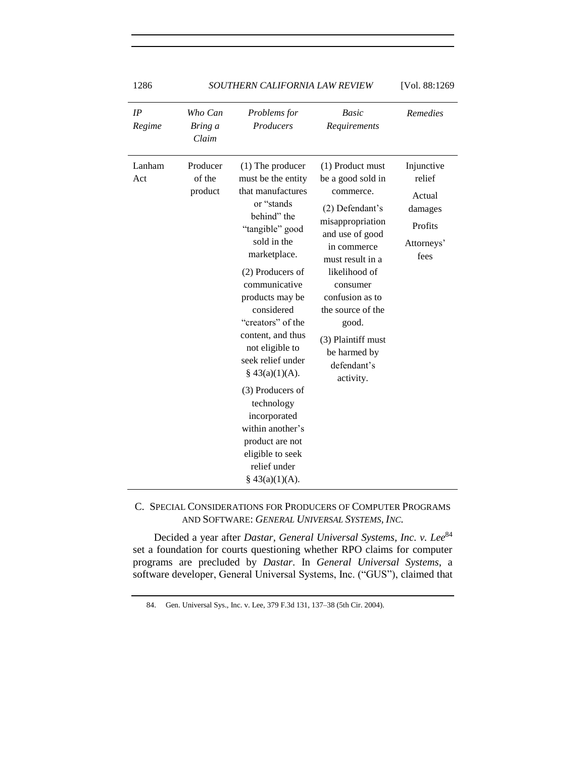| 1286          | SOUTHERN CALIFORNIA LAW REVIEW | [Vol. 88:1269                                                                                                                                                                                                                                                                                                                                                                                                                                                             |                                                                                                                                                                                                                                                                                                 |                                                                            |
|---------------|--------------------------------|---------------------------------------------------------------------------------------------------------------------------------------------------------------------------------------------------------------------------------------------------------------------------------------------------------------------------------------------------------------------------------------------------------------------------------------------------------------------------|-------------------------------------------------------------------------------------------------------------------------------------------------------------------------------------------------------------------------------------------------------------------------------------------------|----------------------------------------------------------------------------|
| IP<br>Regime  | Who Can<br>Bring a<br>Claim    | Problems for<br>Producers                                                                                                                                                                                                                                                                                                                                                                                                                                                 | Basic<br>Requirements                                                                                                                                                                                                                                                                           | <b>Remedies</b>                                                            |
| Lanham<br>Act | Producer<br>of the<br>product  | $(1)$ The producer<br>must be the entity<br>that manufactures<br>or "stands<br>behind" the<br>"tangible" good<br>sold in the<br>marketplace.<br>(2) Producers of<br>communicative<br>products may be<br>considered<br>"creators" of the<br>content, and thus<br>not eligible to<br>seek relief under<br>$§$ 43(a)(1)(A).<br>(3) Producers of<br>technology<br>incorporated<br>within another's<br>product are not<br>eligible to seek<br>relief under<br>$§$ 43(a)(1)(A). | (1) Product must<br>be a good sold in<br>commerce.<br>(2) Defendant's<br>misappropriation<br>and use of good<br>in commerce<br>must result in a<br>likelihood of<br>consumer<br>confusion as to<br>the source of the<br>good.<br>(3) Plaintiff must<br>be harmed by<br>defendant's<br>activity. | Injunctive<br>relief<br>Actual<br>damages<br>Profits<br>Attorneys'<br>fees |

C. SPECIAL CONSIDERATIONS FOR PRODUCERS OF COMPUTER PROGRAMS AND SOFTWARE: *GENERAL UNIVERSAL SYSTEMS, INC.*

Decided a year after *Dastar*, *General Universal Systems, Inc. v. Lee*<sup>84</sup> set a foundation for courts questioning whether RPO claims for computer programs are precluded by *Dastar*. In *General Universal Systems*, a software developer, General Universal Systems, Inc. ("GUS"), claimed that

 <sup>84.</sup> Gen. Universal Sys., Inc. v. Lee, 379 F.3d 131, 137–38 (5th Cir. 2004).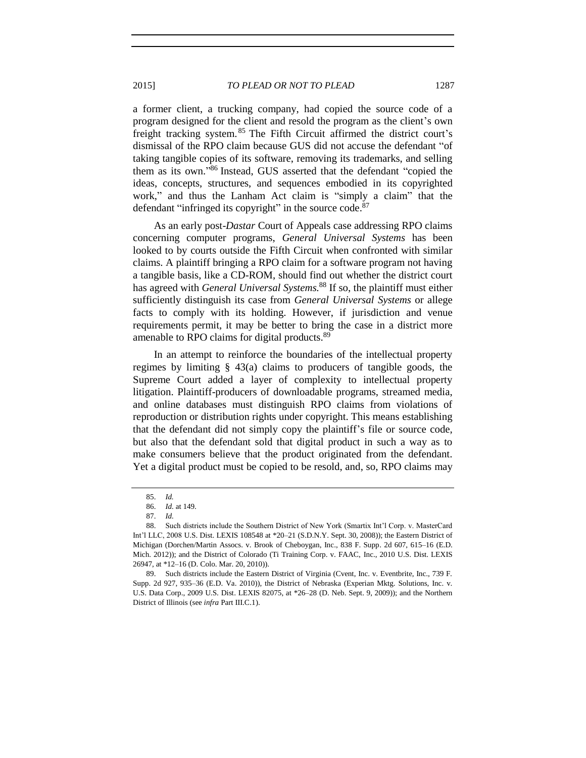a former client, a trucking company, had copied the source code of a program designed for the client and resold the program as the client's own freight tracking system. <sup>85</sup> The Fifth Circuit affirmed the district court's dismissal of the RPO claim because GUS did not accuse the defendant "of taking tangible copies of its software, removing its trademarks, and selling them as its own." <sup>86</sup> Instead, GUS asserted that the defendant "copied the ideas, concepts, structures, and sequences embodied in its copyrighted work," and thus the Lanham Act claim is "simply a claim" that the defendant "infringed its copyright" in the source code.<sup>87</sup>

As an early post-*Dastar* Court of Appeals case addressing RPO claims concerning computer programs, *General Universal Systems* has been looked to by courts outside the Fifth Circuit when confronted with similar claims. A plaintiff bringing a RPO claim for a software program not having a tangible basis, like a CD-ROM, should find out whether the district court has agreed with *General Universal Systems.*<sup>88</sup> If so, the plaintiff must either sufficiently distinguish its case from *General Universal Systems* or allege facts to comply with its holding. However, if jurisdiction and venue requirements permit, it may be better to bring the case in a district more amenable to RPO claims for digital products.<sup>89</sup>

In an attempt to reinforce the boundaries of the intellectual property regimes by limiting § 43(a) claims to producers of tangible goods, the Supreme Court added a layer of complexity to intellectual property litigation. Plaintiff-producers of downloadable programs, streamed media, and online databases must distinguish RPO claims from violations of reproduction or distribution rights under copyright. This means establishing that the defendant did not simply copy the plaintiff's file or source code, but also that the defendant sold that digital product in such a way as to make consumers believe that the product originated from the defendant. Yet a digital product must be copied to be resold, and, so, RPO claims may

<sup>85.</sup> *Id.*

<sup>86.</sup> *Id.* at 149.

<sup>87.</sup> *Id.*

<sup>88.</sup> Such districts include the Southern District of New York (Smartix Int'l Corp. v. MasterCard Int'l LLC, 2008 U.S. Dist. LEXIS 108548 at \*20–21 (S.D.N.Y. Sept. 30, 2008)); the Eastern District of Michigan (Dorchen/Martin Assocs. v. Brook of Cheboygan, Inc., 838 F. Supp. 2d 607, 615–16 (E.D. Mich. 2012)); and the District of Colorado (Ti Training Corp. v. FAAC, Inc., 2010 U.S. Dist. LEXIS 26947, at \*12–16 (D. Colo. Mar. 20, 2010)).

<sup>89.</sup> Such districts include the Eastern District of Virginia (Cvent, Inc. v. Eventbrite, Inc., 739 F. Supp. 2d 927, 935–36 (E.D. Va. 2010)), the District of Nebraska (Experian Mktg. Solutions, Inc. v. U.S. Data Corp., 2009 U.S. Dist. LEXIS 82075, at \*26–28 (D. Neb. Sept. 9, 2009)); and the Northern District of Illinois (see *infra* Part III.C.1).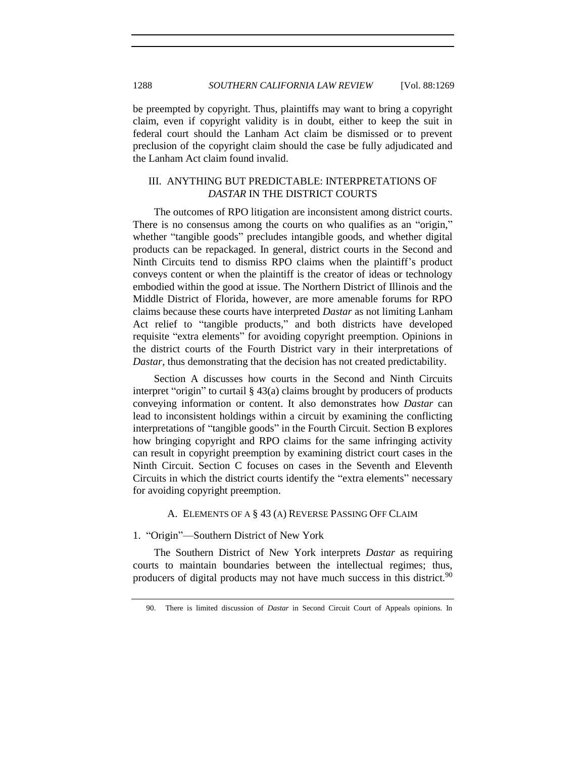be preempted by copyright. Thus, plaintiffs may want to bring a copyright claim, even if copyright validity is in doubt, either to keep the suit in federal court should the Lanham Act claim be dismissed or to prevent preclusion of the copyright claim should the case be fully adjudicated and the Lanham Act claim found invalid.

# III. ANYTHING BUT PREDICTABLE: INTERPRETATIONS OF *DASTAR* IN THE DISTRICT COURTS

The outcomes of RPO litigation are inconsistent among district courts. There is no consensus among the courts on who qualifies as an "origin," whether "tangible goods" precludes intangible goods, and whether digital products can be repackaged. In general, district courts in the Second and Ninth Circuits tend to dismiss RPO claims when the plaintiff's product conveys content or when the plaintiff is the creator of ideas or technology embodied within the good at issue. The Northern District of Illinois and the Middle District of Florida, however, are more amenable forums for RPO claims because these courts have interpreted *Dastar* as not limiting Lanham Act relief to "tangible products," and both districts have developed requisite "extra elements" for avoiding copyright preemption. Opinions in the district courts of the Fourth District vary in their interpretations of *Dastar*, thus demonstrating that the decision has not created predictability.

Section A discusses how courts in the Second and Ninth Circuits interpret "origin" to curtail § 43(a) claims brought by producers of products conveying information or content. It also demonstrates how *Dastar* can lead to inconsistent holdings within a circuit by examining the conflicting interpretations of "tangible goods" in the Fourth Circuit. Section B explores how bringing copyright and RPO claims for the same infringing activity can result in copyright preemption by examining district court cases in the Ninth Circuit. Section C focuses on cases in the Seventh and Eleventh Circuits in which the district courts identify the "extra elements" necessary for avoiding copyright preemption.

#### A. ELEMENTS OF A § 43 (A) REVERSE PASSING OFF CLAIM

#### 1. "Origin"—Southern District of New York

The Southern District of New York interprets *Dastar* as requiring courts to maintain boundaries between the intellectual regimes; thus, producers of digital products may not have much success in this district.<sup>90</sup>

<sup>90.</sup> There is limited discussion of *Dastar* in Second Circuit Court of Appeals opinions. In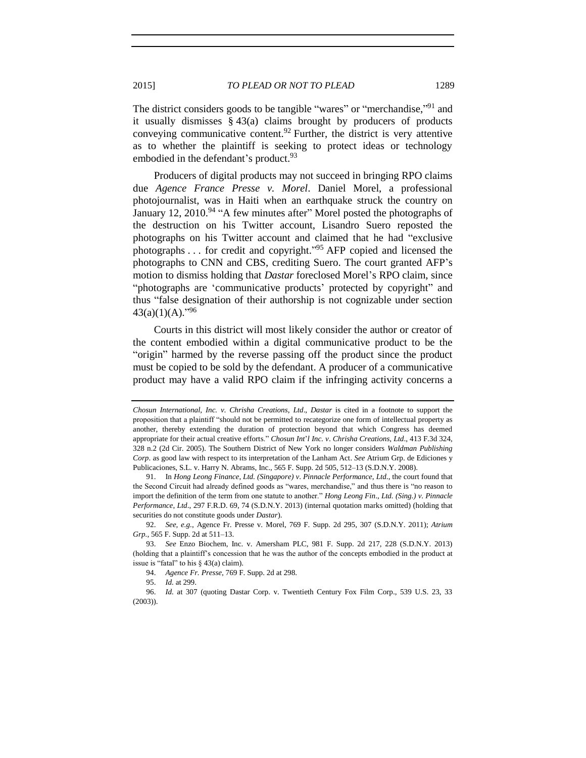The district considers goods to be tangible "wares" or "merchandise,"<sup>91</sup> and it usually dismisses § 43(a) claims brought by producers of products conveying communicative content.<sup>92</sup> Further, the district is very attentive as to whether the plaintiff is seeking to protect ideas or technology embodied in the defendant's product.<sup>93</sup>

Producers of digital products may not succeed in bringing RPO claims due *Agence France Presse v. Morel*. Daniel Morel, a professional photojournalist, was in Haiti when an earthquake struck the country on January 12, 2010.<sup>94</sup> "A few minutes after" Morel posted the photographs of the destruction on his Twitter account, Lisandro Suero reposted the photographs on his Twitter account and claimed that he had "exclusive photographs . . . for credit and copyright."<sup>95</sup> AFP copied and licensed the photographs to CNN and CBS, crediting Suero. The court granted AFP's motion to dismiss holding that *Dastar* foreclosed Morel's RPO claim, since "photographs are 'communicative products' protected by copyright" and thus "false designation of their authorship is not cognizable under section  $43(a)(1)(A).$ <sup>"96</sup>

Courts in this district will most likely consider the author or creator of the content embodied within a digital communicative product to be the "origin" harmed by the reverse passing off the product since the product must be copied to be sold by the defendant. A producer of a communicative product may have a valid RPO claim if the infringing activity concerns a

*Chosun International, Inc. v*. *Chrisha Creations*, *Ltd*., *Dastar* is cited in a footnote to support the proposition that a plaintiff "should not be permitted to recategorize one form of intellectual property as another, thereby extending the duration of protection beyond that which Congress has deemed appropriate for their actual creative efforts." *Chosun Int*'*l Inc. v*. *Chrisha Creations*, *Ltd*., 413 F.3d 324, 328 n.2 (2d Cir. 2005). The Southern District of New York no longer considers *Waldman Publishing Corp*. as good law with respect to its interpretation of the Lanham Act. *See* Atrium Grp. de Ediciones y Publicaciones, S.L. v. Harry N. Abrams, Inc., 565 F. Supp. 2d 505, 512–13 (S.D.N.Y. 2008).

<sup>91.</sup> In *Hong Leong Finance*, *Ltd. (Singapore) v*. *Pinnacle Performance*, *Ltd*., the court found that the Second Circuit had already defined goods as "wares, merchandise," and thus there is "no reason to import the definition of the term from one statute to another." *Hong Leong Fin*., *Ltd. (Sing.) v*. *Pinnacle Performance*, *Ltd*., 297 F.R.D. 69, 74 (S.D.N.Y. 2013) (internal quotation marks omitted) (holding that securities do not constitute goods under *Dastar*).

<sup>92.</sup> *See, e.g.*, Agence Fr. Presse v. Morel, 769 F. Supp. 2d 295, 307 (S.D.N.Y. 2011); *Atrium Grp.*, 565 F. Supp. 2d at 511–13.

<sup>93.</sup> *See* Enzo Biochem, Inc. v. Amersham PLC, 981 F. Supp. 2d 217, 228 (S.D.N.Y. 2013) (holding that a plaintiff's concession that he was the author of the concepts embodied in the product at issue is "fatal" to his  $\S$  43(a) claim).

<sup>94.</sup> *Agence Fr. Presse*, 769 F. Supp. 2d at 298.

<sup>95.</sup> *Id.* at 299.

<sup>96.</sup> *Id.* at 307 (quoting Dastar Corp. v. Twentieth Century Fox Film Corp., 539 U.S. 23, 33 (2003)).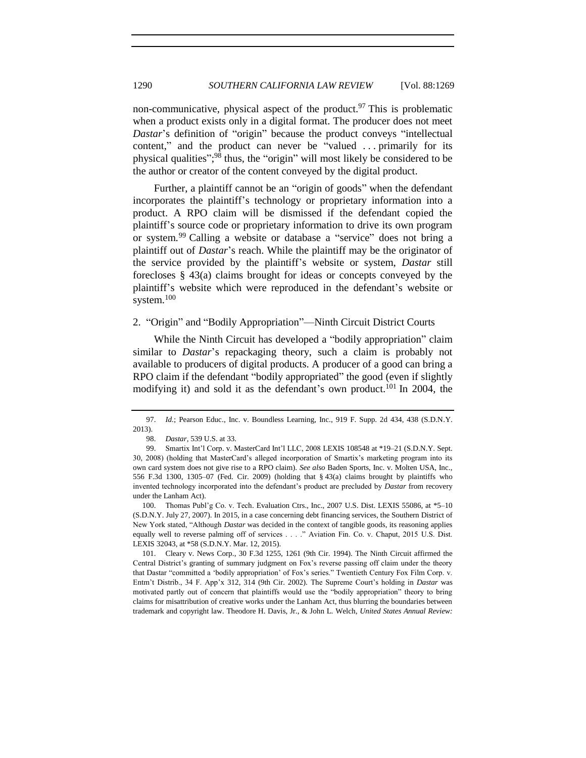non-communicative, physical aspect of the product.<sup>97</sup> This is problematic when a product exists only in a digital format. The producer does not meet *Dastar*'s definition of "origin" because the product conveys "intellectual content," and the product can never be "valued . . . primarily for its physical qualities"; <sup>98</sup> thus, the "origin" will most likely be considered to be the author or creator of the content conveyed by the digital product.

Further, a plaintiff cannot be an "origin of goods" when the defendant incorporates the plaintiff's technology or proprietary information into a product. A RPO claim will be dismissed if the defendant copied the plaintiff's source code or proprietary information to drive its own program or system.<sup>99</sup> Calling a website or database a "service" does not bring a plaintiff out of *Dastar*'s reach. While the plaintiff may be the originator of the service provided by the plaintiff's website or system, *Dastar* still forecloses § 43(a) claims brought for ideas or concepts conveyed by the plaintiff's website which were reproduced in the defendant's website or system.<sup>100</sup>

#### 2. "Origin" and "Bodily Appropriation"—Ninth Circuit District Courts

While the Ninth Circuit has developed a "bodily appropriation" claim similar to *Dastar*'s repackaging theory, such a claim is probably not available to producers of digital products. A producer of a good can bring a RPO claim if the defendant "bodily appropriated" the good (even if slightly modifying it) and sold it as the defendant's own product.<sup>101</sup> In 2004, the

<sup>97.</sup> *Id.*; Pearson Educ., Inc. v. Boundless Learning, Inc., 919 F. Supp. 2d 434, 438 (S.D.N.Y. 2013).

<span id="page-21-0"></span><sup>98.</sup> *Dastar*, 539 U.S. at 33.

<sup>99.</sup> Smartix Int'l Corp. v. MasterCard Int'l LLC, 2008 LEXIS 108548 at \*19–21 (S.D.N.Y. Sept. 30, 2008) (holding that MasterCard's alleged incorporation of Smartix's marketing program into its own card system does not give rise to a RPO claim). *See also* Baden Sports, Inc. v. Molten USA, Inc., 556 F.3d 1300, 1305–07 (Fed. Cir. 2009) (holding that § 43(a) claims brought by plaintiffs who invented technology incorporated into the defendant's product are precluded by *Dastar* from recovery under the Lanham Act).

<sup>100.</sup> Thomas Publ'g Co. v. Tech. Evaluation Ctrs., Inc., 2007 U.S. Dist. LEXIS 55086, at \*5–10 (S.D.N.Y. July 27, 2007). In 2015, in a case concerning debt financing services, the Southern District of New York stated, "Although *Dastar* was decided in the context of tangible goods, its reasoning applies equally well to reverse palming off of services . . . ." Aviation Fin. Co. v. Chaput, 2015 U.S. Dist. LEXIS 32043, at \*58 (S.D.N.Y. Mar. 12, 2015).

<sup>101.</sup> Cleary v. News Corp., 30 F.3d 1255, 1261 (9th Cir. 1994). The Ninth Circuit affirmed the Central District's granting of summary judgment on Fox's reverse passing off claim under the theory that Dastar "committed a 'bodily appropriation' of Fox's series." Twentieth Century Fox Film Corp. v. Entm't Distrib., 34 F. App'x 312, 314 (9th Cir. 2002). The Supreme Court's holding in *Dastar* was motivated partly out of concern that plaintiffs would use the "bodily appropriation" theory to bring claims for misattribution of creative works under the Lanham Act, thus blurring the boundaries between trademark and copyright law. Theodore H. Davis, Jr., & John L. Welch, *United States Annual Review:*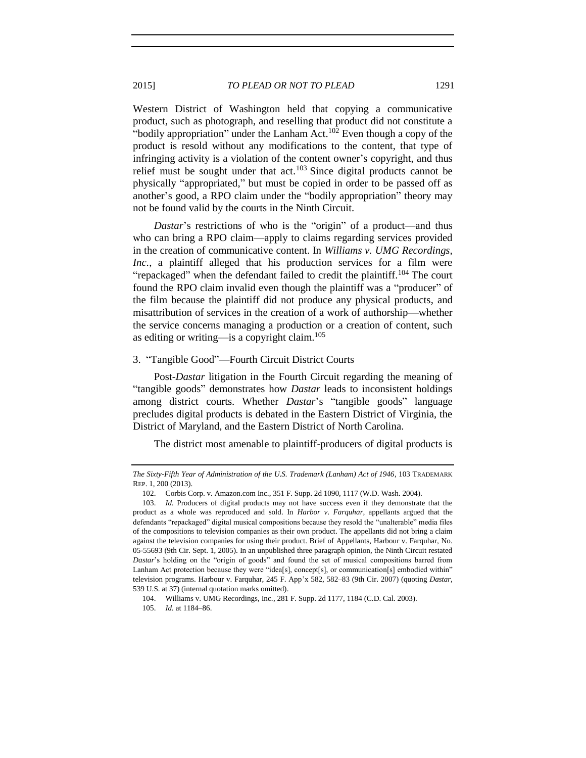Western District of Washington held that copying a communicative product, such as photograph, and reselling that product did not constitute a "bodily appropriation" under the Lanham Act.<sup>102</sup> Even though a copy of the product is resold without any modifications to the content, that type of infringing activity is a violation of the content owner's copyright, and thus relief must be sought under that act.<sup>103</sup> Since digital products cannot be physically "appropriated," but must be copied in order to be passed off as another's good, a RPO claim under the "bodily appropriation" theory may not be found valid by the courts in the Ninth Circuit.

*Dastar*'s restrictions of who is the "origin" of a product—and thus who can bring a RPO claim—apply to claims regarding services provided in the creation of communicative content. In *Williams v. UMG Recordings, Inc.*, a plaintiff alleged that his production services for a film were "repackaged" when the defendant failed to credit the plaintiff.<sup>104</sup> The court found the RPO claim invalid even though the plaintiff was a "producer" of the film because the plaintiff did not produce any physical products, and misattribution of services in the creation of a work of authorship—whether the service concerns managing a production or a creation of content, such as editing or writing—is a copyright claim.<sup>105</sup>

#### 3. "Tangible Good"—Fourth Circuit District Courts

Post-*Dastar* litigation in the Fourth Circuit regarding the meaning of "tangible goods" demonstrates how *Dastar* leads to inconsistent holdings among district courts. Whether *Dastar*'s "tangible goods" language precludes digital products is debated in the Eastern District of Virginia, the District of Maryland, and the Eastern District of North Carolina.

The district most amenable to plaintiff-producers of digital products is

*The Sixty-Fifth Year of Administration of the U.S. Trademark (Lanham) Act of 1946*, 103 TRADEMARK REP. 1, 200 (2013).

<sup>102.</sup> Corbis Corp. v. Amazon.com Inc., 351 F. Supp. 2d 1090, 1117 (W.D. Wash. 2004).

<sup>103.</sup> *Id.* Producers of digital products may not have success even if they demonstrate that the product as a whole was reproduced and sold. In *Harbor v*. *Farquhar*, appellants argued that the defendants "repackaged" digital musical compositions because they resold the "unalterable" media files of the compositions to television companies as their own product. The appellants did not bring a claim against the television companies for using their product. Brief of Appellants, Harbour v. Farquhar, No. 05-55693 (9th Cir. Sept. 1, 2005). In an unpublished three paragraph opinion, the Ninth Circuit restated *Dastar*'s holding on the "origin of goods" and found the set of musical compositions barred from Lanham Act protection because they were "idea[s], concept[s], or communication[s] embodied within" television programs. Harbour v. Farquhar, 245 F. App'x 582, 582–83 (9th Cir. 2007) (quoting *Dastar*, 539 U.S. at 37) (internal quotation marks omitted).

<sup>104.</sup> Williams v. UMG Recordings, Inc., 281 F. Supp. 2d 1177, 1184 (C.D. Cal. 2003).

<sup>105.</sup> *Id.* at 1184–86.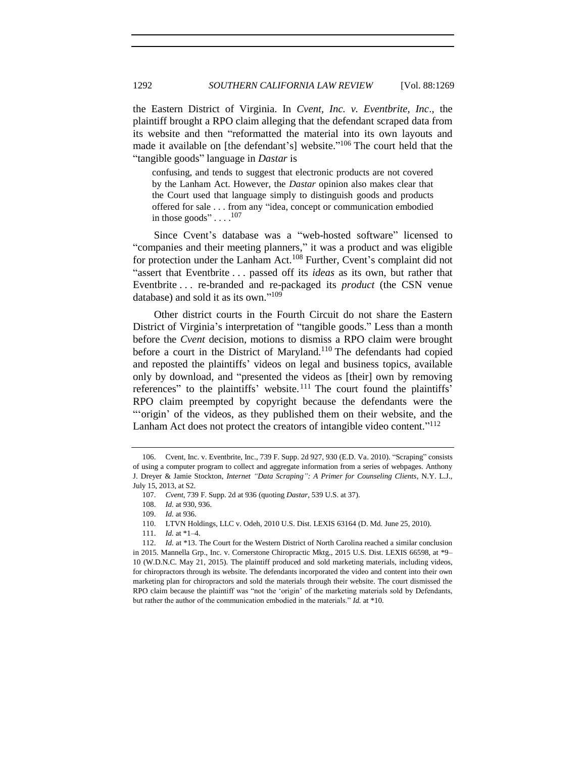the Eastern District of Virginia. In *Cvent, Inc. v. Eventbrite, Inc*., the plaintiff brought a RPO claim alleging that the defendant scraped data from its website and then "reformatted the material into its own layouts and made it available on [the defendant's] website."<sup>106</sup> The court held that the "tangible goods" language in *Dastar* is

confusing, and tends to suggest that electronic products are not covered by the Lanham Act. However, the *Dastar* opinion also makes clear that the Court used that language simply to distinguish goods and products offered for sale . . . from any "idea, concept or communication embodied in those goods"... $^{107}$ 

Since Cvent's database was a "web-hosted software" licensed to "companies and their meeting planners," it was a product and was eligible for protection under the Lanham Act.<sup>108</sup> Further, Cvent's complaint did not "assert that Eventbrite . . . passed off its *ideas* as its own, but rather that Eventbrite . . . re-branded and re-packaged its *product* (the CSN venue database) and sold it as its own." 109

Other district courts in the Fourth Circuit do not share the Eastern District of Virginia's interpretation of "tangible goods." Less than a month before the *Cvent* decision*,* motions to dismiss a RPO claim were brought before a court in the District of Maryland.<sup>110</sup> The defendants had copied and reposted the plaintiffs' videos on legal and business topics, available only by download, and "presented the videos as [their] own by removing references" to the plaintiffs' website.<sup>111</sup> The court found the plaintiffs' RPO claim preempted by copyright because the defendants were the "'origin' of the videos, as they published them on their website, and the Lanham Act does not protect the creators of intangible video content."<sup>112</sup>

<sup>106.</sup> Cvent, Inc. v. Eventbrite, Inc., 739 F. Supp. 2d 927, 930 (E.D. Va. 2010). "Scraping" consists of using a computer program to collect and aggregate information from a series of webpages. Anthony J. Dreyer & Jamie Stockton, *Internet "Data Scraping": A Primer for Counseling Clients*, N.Y. L.J., July 15, 2013, at S2.

<sup>107.</sup> *Cvent*, 739 F. Supp. 2d at 936 (quoting *Dastar*, 539 U.S. at 37).

<sup>108.</sup> *Id.* at 930, 936.

<sup>109.</sup> *Id.* at 936.

<sup>110.</sup> LTVN Holdings, LLC v. Odeh, 2010 U.S. Dist. LEXIS 63164 (D. Md. June 25, 2010).

<sup>111.</sup> *Id.* at \*1–4.

<sup>112.</sup> *Id.* at \*13. The Court for the Western District of North Carolina reached a similar conclusion in 2015. Mannella Grp., Inc. v. Cornerstone Chiropractic Mktg., 2015 U.S. Dist. LEXIS 66598, at \*9– 10 (W.D.N.C. May 21, 2015). The plaintiff produced and sold marketing materials, including videos, for chiropractors through its website. The defendants incorporated the video and content into their own marketing plan for chiropractors and sold the materials through their website. The court dismissed the RPO claim because the plaintiff was "not the 'origin' of the marketing materials sold by Defendants, but rather the author of the communication embodied in the materials." *Id.* at \*10.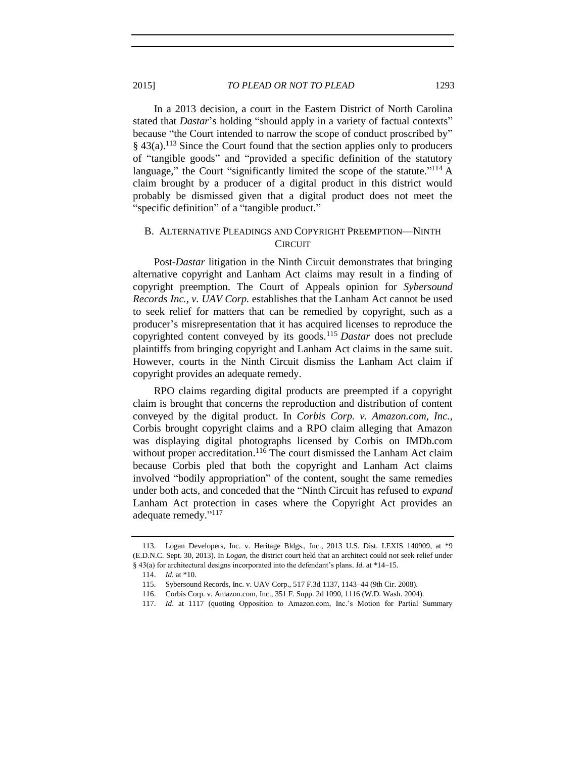In a 2013 decision, a court in the Eastern District of North Carolina stated that *Dastar's* holding "should apply in a variety of factual contexts" because "the Court intended to narrow the scope of conduct proscribed by"  $§$  43(a).<sup>113</sup> Since the Court found that the section applies only to producers of "tangible goods" and "provided a specific definition of the statutory language," the Court "significantly limited the scope of the statute."<sup>114</sup> A claim brought by a producer of a digital product in this district would probably be dismissed given that a digital product does not meet the "specific definition" of a "tangible product."

# B. ALTERNATIVE PLEADINGS AND COPYRIGHT PREEMPTION—NINTH **CIRCUIT**

Post-*Dastar* litigation in the Ninth Circuit demonstrates that bringing alternative copyright and Lanham Act claims may result in a finding of copyright preemption. The Court of Appeals opinion for *Sybersound Records Inc., v. UAV Corp.* establishes that the Lanham Act cannot be used to seek relief for matters that can be remedied by copyright, such as a producer's misrepresentation that it has acquired licenses to reproduce the copyrighted content conveyed by its goods.<sup>115</sup> *Dastar* does not preclude plaintiffs from bringing copyright and Lanham Act claims in the same suit. However, courts in the Ninth Circuit dismiss the Lanham Act claim if copyright provides an adequate remedy.

RPO claims regarding digital products are preempted if a copyright claim is brought that concerns the reproduction and distribution of content conveyed by the digital product. In *Corbis Corp. v. Amazon.com, Inc.*, Corbis brought copyright claims and a RPO claim alleging that Amazon was displaying digital photographs licensed by Corbis on IMDb.com without proper accreditation.<sup>116</sup> The court dismissed the Lanham Act claim because Corbis pled that both the copyright and Lanham Act claims involved "bodily appropriation" of the content, sought the same remedies under both acts, and conceded that the "Ninth Circuit has refused to *expand* Lanham Act protection in cases where the Copyright Act provides an adequate remedy."<sup>117</sup>

<sup>113.</sup> Logan Developers, Inc. v. Heritage Bldgs., Inc., 2013 U.S. Dist. LEXIS 140909, at \*9 (E.D.N.C. Sept. 30, 2013). In *Logan*, the district court held that an architect could not seek relief under § 43(a) for architectural designs incorporated into the defendant's plans. *Id.* at \*14–15.

<sup>114.</sup> *Id.* at \*10.

<sup>115.</sup> Sybersound Records, Inc. v. UAV Corp., 517 F.3d 1137, 1143–44 (9th Cir. 2008).

<sup>116.</sup> Corbis Corp. v. Amazon.com, Inc., 351 F. Supp. 2d 1090, 1116 (W.D. Wash. 2004).

<sup>117.</sup> *Id*. at 1117 (quoting Opposition to Amazon.com, Inc.'s Motion for Partial Summary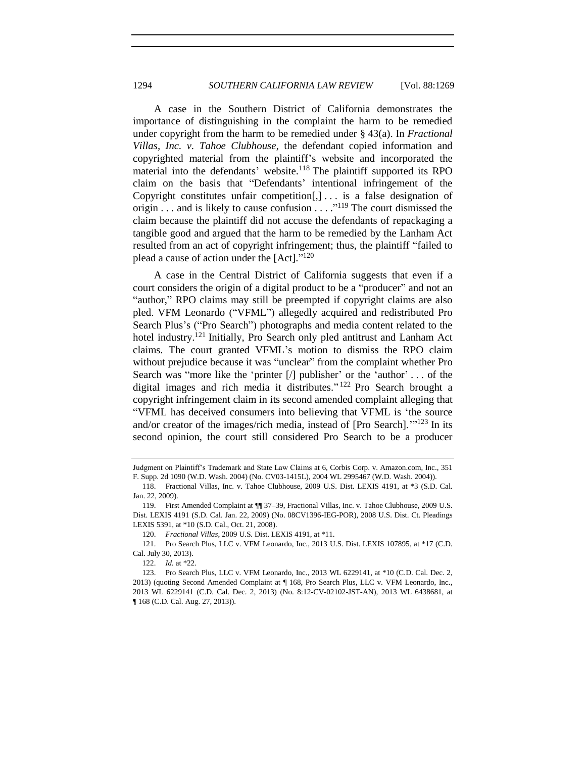A case in the Southern District of California demonstrates the importance of distinguishing in the complaint the harm to be remedied under copyright from the harm to be remedied under § 43(a). In *Fractional Villas, Inc. v. Tahoe Clubhouse*, the defendant copied information and copyrighted material from the plaintiff's website and incorporated the material into the defendants' website. $118$  The plaintiff supported its RPO claim on the basis that "Defendants' intentional infringement of the Copyright constitutes unfair competition $[,] \ldots$  is a false designation of origin . . . and is likely to cause confusion  $\dots$  . . <sup>119</sup> The court dismissed the claim because the plaintiff did not accuse the defendants of repackaging a tangible good and argued that the harm to be remedied by the Lanham Act resulted from an act of copyright infringement; thus, the plaintiff "failed to plead a cause of action under the [Act]."<sup>120</sup>

A case in the Central District of California suggests that even if a court considers the origin of a digital product to be a "producer" and not an "author," RPO claims may still be preempted if copyright claims are also pled. VFM Leonardo ("VFML") allegedly acquired and redistributed Pro Search Plus's ("Pro Search") photographs and media content related to the hotel industry.<sup>121</sup> Initially, Pro Search only pled antitrust and Lanham Act claims. The court granted VFML's motion to dismiss the RPO claim without prejudice because it was "unclear" from the complaint whether Pro Search was "more like the 'printer [/] publisher' or the 'author' . . . of the digital images and rich media it distributes." <sup>122</sup> Pro Search brought a copyright infringement claim in its second amended complaint alleging that "VFML has deceived consumers into believing that VFML is 'the source and/or creator of the images/rich media, instead of [Pro Search].<sup>'"123</sup> In its second opinion, the court still considered Pro Search to be a producer

Judgment on Plaintiff's Trademark and State Law Claims at 6, Corbis Corp. v. Amazon.com, Inc., 351 F. Supp. 2d 1090 (W.D. Wash. 2004) (No. CV03-1415L), 2004 WL 2995467 (W.D. Wash. 2004)).

<sup>118.</sup> Fractional Villas, Inc. v. Tahoe Clubhouse, 2009 U.S. Dist. LEXIS 4191, at \*3 (S.D. Cal. Jan. 22, 2009).

<sup>119.</sup> First Amended Complaint at ¶¶ 37–39, Fractional Villas, Inc. v. Tahoe Clubhouse, 2009 U.S. Dist. LEXIS 4191 (S.D. Cal. Jan. 22, 2009) (No. 08CV1396-IEG-POR), 2008 U.S. Dist. Ct. Pleadings LEXIS 5391, at \*10 (S.D. Cal., Oct. 21, 2008).

<sup>120.</sup> *Fractional Villas*, 2009 U.S. Dist. LEXIS 4191, at \*11.

<sup>121.</sup> Pro Search Plus, LLC v. VFM Leonardo, Inc., 2013 U.S. Dist. LEXIS 107895, at \*17 (C.D. Cal. July 30, 2013).

<sup>122.</sup> *Id.* at \*22.

<sup>123.</sup> Pro Search Plus, LLC v. VFM Leonardo, Inc., 2013 WL 6229141, at \*10 (C.D. Cal. Dec. 2, 2013) (quoting Second Amended Complaint at ¶ 168, Pro Search Plus, LLC v. VFM Leonardo, Inc., 2013 WL 6229141 (C.D. Cal. Dec. 2, 2013) (No. 8:12-CV-02102-JST-AN), 2013 WL 6438681, at ¶ 168 (C.D. Cal. Aug. 27, 2013)).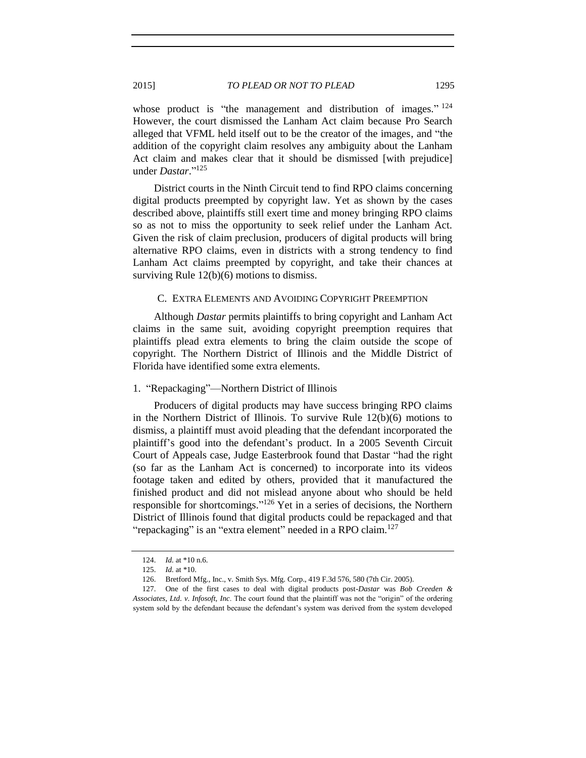whose product is "the management and distribution of images."  $124$ However, the court dismissed the Lanham Act claim because Pro Search alleged that VFML held itself out to be the creator of the images, and "the addition of the copyright claim resolves any ambiguity about the Lanham Act claim and makes clear that it should be dismissed [with prejudice] under *Dastar*." 125

District courts in the Ninth Circuit tend to find RPO claims concerning digital products preempted by copyright law. Yet as shown by the cases described above, plaintiffs still exert time and money bringing RPO claims so as not to miss the opportunity to seek relief under the Lanham Act. Given the risk of claim preclusion, producers of digital products will bring alternative RPO claims, even in districts with a strong tendency to find Lanham Act claims preempted by copyright, and take their chances at surviving Rule 12(b)(6) motions to dismiss.

#### C. EXTRA ELEMENTS AND AVOIDING COPYRIGHT PREEMPTION

Although *Dastar* permits plaintiffs to bring copyright and Lanham Act claims in the same suit, avoiding copyright preemption requires that plaintiffs plead extra elements to bring the claim outside the scope of copyright. The Northern District of Illinois and the Middle District of Florida have identified some extra elements.

#### 1. "Repackaging"—Northern District of Illinois

Producers of digital products may have success bringing RPO claims in the Northern District of Illinois. To survive Rule 12(b)(6) motions to dismiss, a plaintiff must avoid pleading that the defendant incorporated the plaintiff's good into the defendant's product. In a 2005 Seventh Circuit Court of Appeals case, Judge Easterbrook found that Dastar "had the right (so far as the Lanham Act is concerned) to incorporate into its videos footage taken and edited by others, provided that it manufactured the finished product and did not mislead anyone about who should be held responsible for shortcomings."<sup>126</sup> Yet in a series of decisions, the Northern District of Illinois found that digital products could be repackaged and that "repackaging" is an "extra element" needed in a RPO claim.<sup>127</sup>

<sup>124.</sup> *Id.* at \*10 n.6.

<sup>125.</sup> *Id.* at \*10.

<sup>126.</sup> Bretford Mfg., Inc., v. Smith Sys. Mfg. Corp., 419 F.3d 576, 580 (7th Cir. 2005).

<sup>127.</sup> One of the first cases to deal with digital products post-*Dastar* was *Bob Creeden & Associates*, *Ltd*. *v*. *Infosoft*, *Inc*. The court found that the plaintiff was not the "origin" of the ordering system sold by the defendant because the defendant's system was derived from the system developed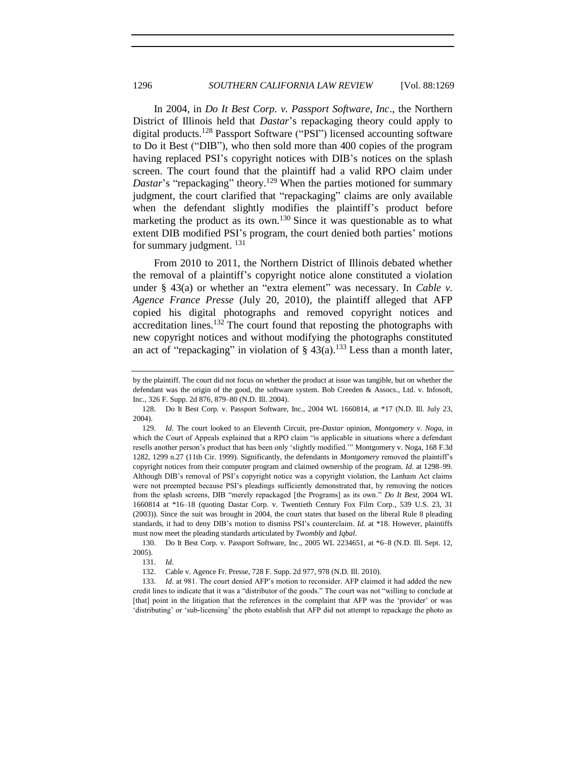In 2004, in *Do It Best Corp. v. Passport Software, Inc*., the Northern District of Illinois held that *Dastar*'s repackaging theory could apply to digital products.<sup>128</sup> Passport Software ("PSI") licensed accounting software to Do it Best ("DIB"), who then sold more than 400 copies of the program having replaced PSI's copyright notices with DIB's notices on the splash screen. The court found that the plaintiff had a valid RPO claim under *Dastar's* "repackaging" theory.<sup>129</sup> When the parties motioned for summary judgment, the court clarified that "repackaging" claims are only available when the defendant slightly modifies the plaintiff's product before marketing the product as its own.<sup>130</sup> Since it was questionable as to what extent DIB modified PSI's program, the court denied both parties' motions for summary judgment.  $^{131}$ 

From 2010 to 2011, the Northern District of Illinois debated whether the removal of a plaintiff's copyright notice alone constituted a violation under § 43(a) or whether an "extra element" was necessary. In *Cable v. Agence France Presse* (July 20, 2010), the plaintiff alleged that AFP copied his digital photographs and removed copyright notices and accreditation lines.<sup>132</sup> The court found that reposting the photographs with new copyright notices and without modifying the photographs constituted an act of "repackaging" in violation of  $\S$  43(a).<sup>133</sup> Less than a month later,

by the plaintiff. The court did not focus on whether the product at issue was tangible, but on whether the defendant was the origin of the good, the software system. Bob Creeden & Assocs., Ltd. v. Infosoft, Inc., 326 F. Supp. 2d 876, 879–80 (N.D. Ill. 2004).

<sup>128.</sup> Do It Best Corp. v. Passport Software, Inc., 2004 WL 1660814, at \*17 (N.D. Ill. July 23, 2004).

<sup>129.</sup> *Id.* The court looked to an Eleventh Circuit, pre-*Dastar* opinion, *Montgomery v*. *Noga*, in which the Court of Appeals explained that a RPO claim "is applicable in situations where a defendant resells another person's product that has been only 'slightly modified.'" Montgomery v. Noga, 168 F.3d 1282, 1299 n.27 (11th Cir. 1999). Significantly, the defendants in *Montgomery* removed the plaintiff's copyright notices from their computer program and claimed ownership of the program. *Id*. at 1298–99. Although DIB's removal of PSI's copyright notice was a copyright violation, the Lanham Act claims were not preempted because PSI's pleadings sufficiently demonstrated that, by removing the notices from the splash screens, DIB "merely repackaged [the Programs] as its own." *Do It Best*, 2004 WL 1660814 at \*16–18 (quoting Dastar Corp. v. Twentieth Century Fox Film Corp., 539 U.S. 23, 31 (2003)). Since the suit was brought in 2004, the court states that based on the liberal Rule 8 pleading standards, it had to deny DIB's motion to dismiss PSI's counterclaim. *Id.* at \*18. However, plaintiffs must now meet the pleading standards articulated by *Twombly* and *Iqbal*.

<sup>130.</sup> Do It Best Corp. v. Passport Software, Inc., 2005 WL 2234651, at \*6–8 (N.D. Ill. Sept. 12, 2005).

<sup>131.</sup> *Id*.

<sup>132.</sup> Cable v. Agence Fr. Presse, 728 F. Supp. 2d 977, 978 (N.D. Ill. 2010).

<sup>133.</sup> *Id*. at 981. The court denied AFP's motion to reconsider. AFP claimed it had added the new credit lines to indicate that it was a "distributor of the goods." The court was not "willing to conclude at [that] point in the litigation that the references in the complaint that AFP was the 'provider' or was 'distributing' or 'sub-licensing' the photo establish that AFP did not attempt to repackage the photo as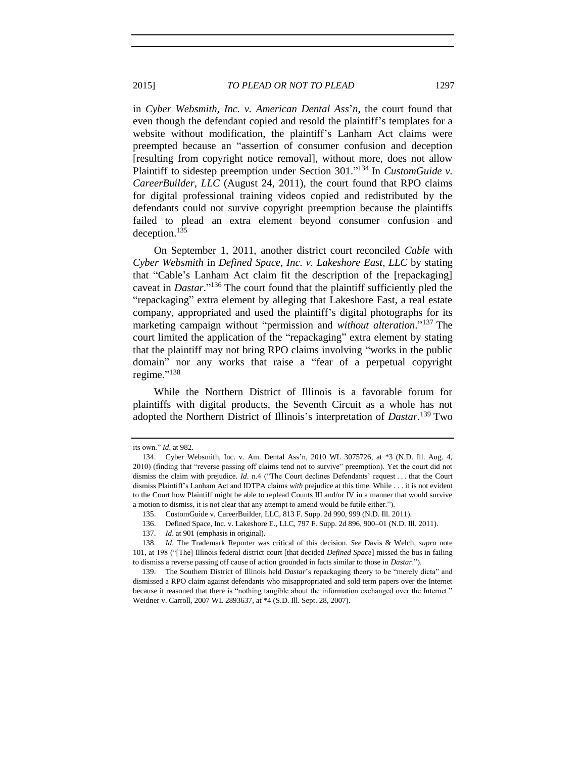in *Cyber Websmith, Inc. v. American Dental Ass*'*n*, the court found that even though the defendant copied and resold the plaintiff's templates for a website without modification, the plaintiff's Lanham Act claims were preempted because an "assertion of consumer confusion and deception [resulting from copyright notice removal], without more, does not allow Plaintiff to sidestep preemption under Section 301."<sup>134</sup> In *CustomGuide v*. *CareerBuilder, LLC* (August 24, 2011), the court found that RPO claims for digital professional training videos copied and redistributed by the defendants could not survive copyright preemption because the plaintiffs failed to plead an extra element beyond consumer confusion and deception.<sup>135</sup>

On September 1, 2011, another district court reconciled *Cable* with *Cyber Websmith* in *Defined Space, Inc. v. Lakeshore East, LLC* by stating that "Cable's Lanham Act claim fit the description of the [repackaging] caveat in *Dastar*." <sup>136</sup> The court found that the plaintiff sufficiently pled the "repackaging" extra element by alleging that Lakeshore East, a real estate company, appropriated and used the plaintiff's digital photographs for its marketing campaign without "permission and *without alteration*." <sup>137</sup> The court limited the application of the "repackaging" extra element by stating that the plaintiff may not bring RPO claims involving "works in the public domain" nor any works that raise a "fear of a perpetual copyright regime." 138

While the Northern District of Illinois is a favorable forum for plaintiffs with digital products, the Seventh Circuit as a whole has not adopted the Northern District of Illinois's interpretation of *Dastar*. <sup>139</sup> Two

its own." *Id*. at 982.

<sup>134.</sup> Cyber Websmith, Inc. v. Am. Dental Ass'n, 2010 WL 3075726, at \*3 (N.D. Ill. Aug. 4, 2010) (finding that "reverse passing off claims tend not to survive" preemption). Yet the court did not dismiss the claim with prejudice. *Id*. n.4 ("The Court declines Defendants' request . . . that the Court dismiss Plaintiff's Lanham Act and IDTPA claims *with* prejudice at this time. While . . . it is not evident to the Court how Plaintiff might be able to replead Counts III and/or IV in a manner that would survive a motion to dismiss, it is not clear that any attempt to amend would be futile either.").

<sup>135.</sup> CustomGuide v. CareerBuilder, LLC, 813 F. Supp. 2d 990, 999 (N.D. Ill. 2011).

<sup>136.</sup> Defined Space, Inc. v. Lakeshore E., LLC, 797 F. Supp. 2d 896, 900–01 (N.D. Ill. 2011).

<sup>137.</sup> *Id*. at 901 (emphasis in original).

<sup>138.</sup> *Id*. The Trademark Reporter was critical of this decision. *See* Davis & Welch, *supra* note [101,](#page-21-0) at 198 ("[The] Illinois federal district court [that decided *Defined Space*] missed the bus in failing to dismiss a reverse passing off cause of action grounded in facts similar to those in *Dastar*.").

<sup>139.</sup> The Southern District of Illinois held *Dastar*'s repackaging theory to be "merely dicta" and dismissed a RPO claim against defendants who misappropriated and sold term papers over the Internet because it reasoned that there is "nothing tangible about the information exchanged over the Internet." Weidner v. Carroll, 2007 WL 2893637, at \*4 (S.D. Ill. Sept. 28, 2007).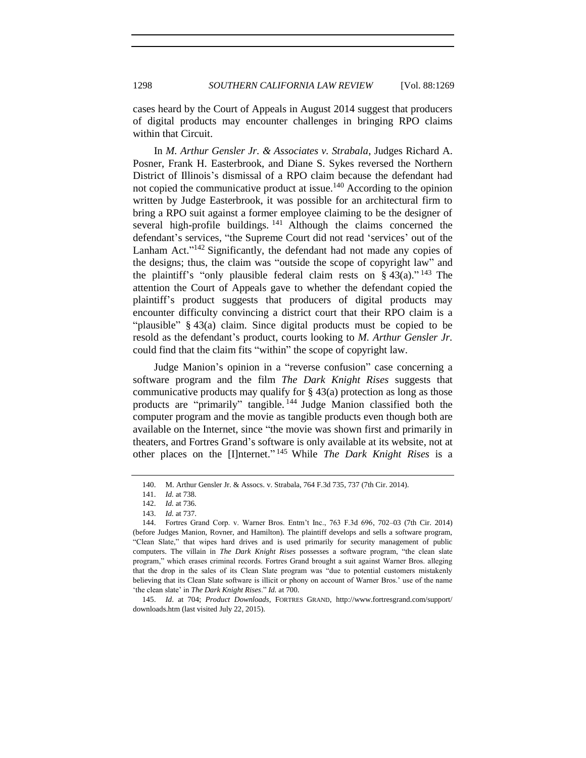cases heard by the Court of Appeals in August 2014 suggest that producers of digital products may encounter challenges in bringing RPO claims within that Circuit.

In *M. Arthur Gensler Jr. & Associates v. Strabala*, Judges Richard A. Posner, Frank H. Easterbrook, and Diane S. Sykes reversed the Northern District of Illinois's dismissal of a RPO claim because the defendant had not copied the communicative product at issue.<sup>140</sup> According to the opinion written by Judge Easterbrook, it was possible for an architectural firm to bring a RPO suit against a former employee claiming to be the designer of several high-profile buildings.  $141$  Although the claims concerned the defendant's services, "the Supreme Court did not read 'services' out of the Lanham Act."<sup>142</sup> Significantly, the defendant had not made any copies of the designs; thus, the claim was "outside the scope of copyright law" and the plaintiff's "only plausible federal claim rests on  $\S 43(a)$ ." <sup>143</sup> The attention the Court of Appeals gave to whether the defendant copied the plaintiff's product suggests that producers of digital products may encounter difficulty convincing a district court that their RPO claim is a "plausible" § 43(a) claim. Since digital products must be copied to be resold as the defendant's product, courts looking to *M. Arthur Gensler Jr.* could find that the claim fits "within" the scope of copyright law.

Judge Manion's opinion in a "reverse confusion" case concerning a software program and the film *The Dark Knight Rises* suggests that communicative products may qualify for  $\S 43(a)$  protection as long as those products are "primarily" tangible. <sup>144</sup> Judge Manion classified both the computer program and the movie as tangible products even though both are available on the Internet, since "the movie was shown first and primarily in theaters, and Fortres Grand's software is only available at its website, not at other places on the [I]nternet." <sup>145</sup> While *The Dark Knight Rises* is a

145. *Id*. at 704; *Product Downloads*, FORTRES GRAND, http://www.fortresgrand.com/support/ downloads.htm (last visited July 22, 2015).

<sup>140.</sup> M. Arthur Gensler Jr. & Assocs. v. Strabala, 764 F.3d 735, 737 (7th Cir. 2014).

<sup>141.</sup> *Id.* at 738.

<sup>142.</sup> *Id.* at 736.

<sup>143.</sup> *Id.* at 737.

<sup>144.</sup> Fortres Grand Corp. v. Warner Bros. Entm't Inc., 763 F.3d 696, 702–03 (7th Cir. 2014) (before Judges Manion, Rovner, and Hamilton). The plaintiff develops and sells a software program, "Clean Slate," that wipes hard drives and is used primarily for security management of public computers. The villain in *The Dark Knight Rises* possesses a software program, "the clean slate program," which erases criminal records. Fortres Grand brought a suit against Warner Bros. alleging that the drop in the sales of its Clean Slate program was "due to potential customers mistakenly believing that its Clean Slate software is illicit or phony on account of Warner Bros.' use of the name 'the clean slate' in *The Dark Knight Rises*." *Id.* at 700.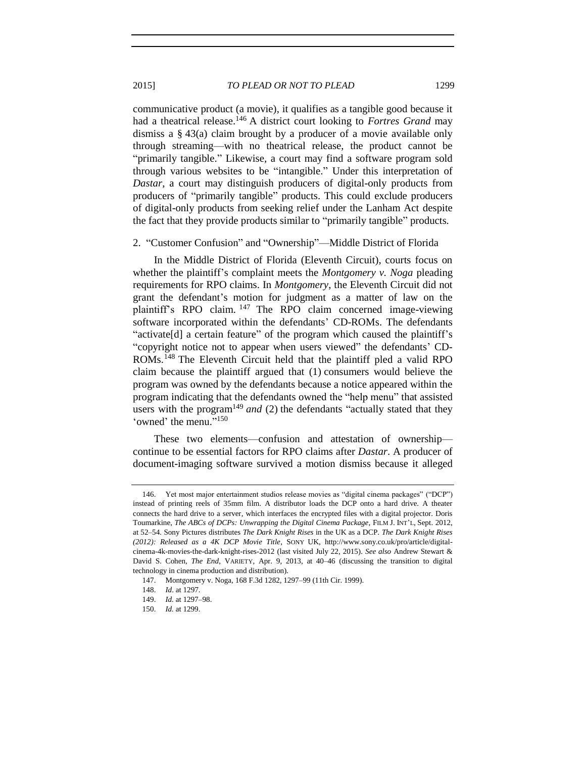communicative product (a movie), it qualifies as a tangible good because it had a theatrical release.<sup>146</sup> A district court looking to *Fortres Grand* may dismiss a § 43(a) claim brought by a producer of a movie available only through streaming—with no theatrical release, the product cannot be "primarily tangible." Likewise, a court may find a software program sold through various websites to be "intangible." Under this interpretation of *Dastar*, a court may distinguish producers of digital-only products from producers of "primarily tangible" products. This could exclude producers of digital-only products from seeking relief under the Lanham Act despite the fact that they provide products similar to "primarily tangible" products.

#### 2. "Customer Confusion" and "Ownership"—Middle District of Florida

In the Middle District of Florida (Eleventh Circuit), courts focus on whether the plaintiff's complaint meets the *Montgomery v. Noga* pleading requirements for RPO claims. In *Montgomery*, the Eleventh Circuit did not grant the defendant's motion for judgment as a matter of law on the plaintiff's RPO claim. <sup>147</sup> The RPO claim concerned image-viewing software incorporated within the defendants' CD-ROMs. The defendants "activate[d] a certain feature" of the program which caused the plaintiff's "copyright notice not to appear when users viewed" the defendants' CD-ROMs.<sup>148</sup> The Eleventh Circuit held that the plaintiff pled a valid RPO claim because the plaintiff argued that (1) consumers would believe the program was owned by the defendants because a notice appeared within the program indicating that the defendants owned the "help menu" that assisted users with the program<sup>149</sup> *and* (2) the defendants "actually stated that they 'owned' the menu."<sup>150</sup>

These two elements—confusion and attestation of ownership continue to be essential factors for RPO claims after *Dastar*. A producer of document-imaging software survived a motion dismiss because it alleged

<sup>146.</sup> Yet most major entertainment studios release movies as "digital cinema packages" ("DCP") instead of printing reels of 35mm film. A distributor loads the DCP onto a hard drive. A theater connects the hard drive to a server, which interfaces the encrypted files with a digital projector. Doris Toumarkine, *The ABCs of DCPs: Unwrapping the Digital Cinema Package*, FILM J. INT'L, Sept. 2012, at 52–54. Sony Pictures distributes *The Dark Knight Rises* in the UK as a DCP. *The Dark Knight Rises (2012): Released as a 4K DCP Movie Title*, SONY UK, http://www.sony.co.uk/pro/article/digitalcinema-4k-movies-the-dark-knight-rises-2012 (last visited July 22, 2015). *See also* Andrew Stewart & David S. Cohen, *The End*, VARIETY, Apr. 9, 2013, at 40–46 (discussing the transition to digital technology in cinema production and distribution).

<sup>147.</sup> Montgomery v. Noga, 168 F.3d 1282, 1297–99 (11th Cir. 1999).

<sup>148.</sup> *Id*. at 1297.

<sup>149.</sup> *Id.* at 1297–98.

<sup>150.</sup> *Id.* at 1299.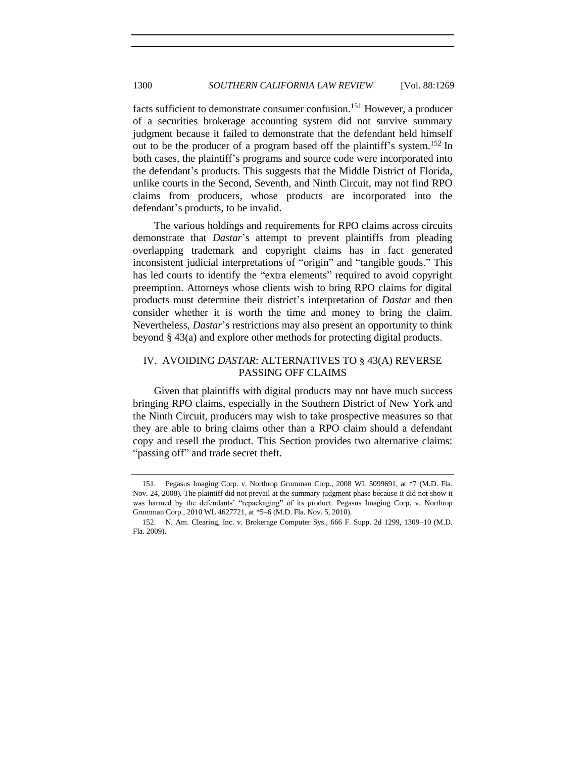facts sufficient to demonstrate consumer confusion.<sup>151</sup> However, a producer of a securities brokerage accounting system did not survive summary judgment because it failed to demonstrate that the defendant held himself out to be the producer of a program based off the plaintiff's system.<sup>152</sup> In both cases, the plaintiff's programs and source code were incorporated into the defendant's products. This suggests that the Middle District of Florida, unlike courts in the Second, Seventh, and Ninth Circuit, may not find RPO claims from producers, whose products are incorporated into the defendant's products, to be invalid.

The various holdings and requirements for RPO claims across circuits demonstrate that *Dastar*'s attempt to prevent plaintiffs from pleading overlapping trademark and copyright claims has in fact generated inconsistent judicial interpretations of "origin" and "tangible goods." This has led courts to identify the "extra elements" required to avoid copyright preemption. Attorneys whose clients wish to bring RPO claims for digital products must determine their district's interpretation of *Dastar* and then consider whether it is worth the time and money to bring the claim. Nevertheless, *Dastar*'s restrictions may also present an opportunity to think beyond § 43(a) and explore other methods for protecting digital products.

# IV. AVOIDING *DASTAR*: ALTERNATIVES TO § 43(A) REVERSE PASSING OFF CLAIMS

Given that plaintiffs with digital products may not have much success bringing RPO claims, especially in the Southern District of New York and the Ninth Circuit, producers may wish to take prospective measures so that they are able to bring claims other than a RPO claim should a defendant copy and resell the product. This Section provides two alternative claims: "passing off" and trade secret theft.

<sup>151.</sup> Pegasus Imaging Corp. v. Northrop Grumman Corp., 2008 WL 5099691, at \*7 (M.D. Fla. Nov. 24, 2008). The plaintiff did not prevail at the summary judgment phase because it did not show it was harmed by the defendants' "repackaging" of its product. Pegasus Imaging Corp. v. Northrop Grumman Corp., 2010 WL 4627721, at \*5–6 (M.D. Fla. Nov. 5, 2010).

<sup>152.</sup> N. Am. Clearing, Inc. v. Brokerage Computer Sys., 666 F. Supp. 2d 1299, 1309–10 (M.D. Fla. 2009).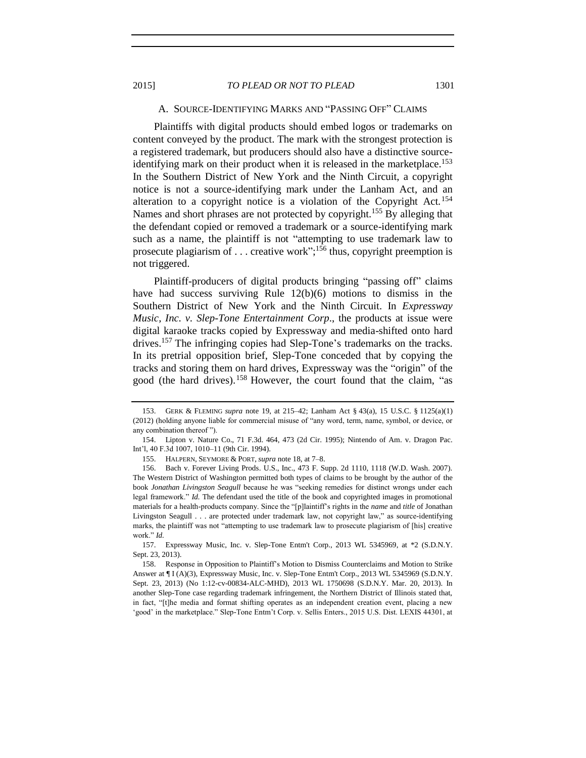#### A. SOURCE-IDENTIFYING MARKS AND "PASSING OFF" CLAIMS

Plaintiffs with digital products should embed logos or trademarks on content conveyed by the product. The mark with the strongest protection is a registered trademark, but producers should also have a distinctive sourceidentifying mark on their product when it is released in the marketplace.<sup>153</sup> In the Southern District of New York and the Ninth Circuit, a copyright notice is not a source-identifying mark under the Lanham Act, and an alteration to a copyright notice is a violation of the Copyright Act.<sup>154</sup> Names and short phrases are not protected by copyright.<sup>155</sup> By alleging that the defendant copied or removed a trademark or a source-identifying mark such as a name, the plaintiff is not "attempting to use trademark law to prosecute plagiarism of ... creative work";<sup>156</sup> thus, copyright preemption is not triggered.

Plaintiff-producers of digital products bringing "passing off" claims have had success surviving Rule 12(b)(6) motions to dismiss in the Southern District of New York and the Ninth Circuit. In *Expressway Music, Inc. v. Slep-Tone Entertainment Corp*., the products at issue were digital karaoke tracks copied by Expressway and media-shifted onto hard drives.<sup>157</sup> The infringing copies had Slep-Tone's trademarks on the tracks. In its pretrial opposition brief, Slep-Tone conceded that by copying the tracks and storing them on hard drives, Expressway was the "origin" of the good (the hard drives).<sup>158</sup> However, the court found that the claim, "as

<sup>153.</sup> GERK & FLEMING *supra* note [19,](#page-5-0) at 215–42; Lanham Act § 43(a), 15 U.S.C. § 1125(a)(1) (2012) (holding anyone liable for commercial misuse of "any word, term, name, symbol, or device, or any combination thereof ").

<sup>154.</sup> Lipton v. Nature Co., 71 F.3d. 464, 473 (2d Cir. 1995); Nintendo of Am. v. Dragon Pac. Int'l, 40 F.3d 1007, 1010–11 (9th Cir. 1994).

<sup>155.</sup> HALPERN, SEYMORE & PORT, *supra* not[e 18,](#page-4-0) at 7–8.

<sup>156.</sup> Bach v. Forever Living Prods. U.S., Inc., 473 F. Supp. 2d 1110, 1118 (W.D. Wash. 2007). The Western District of Washington permitted both types of claims to be brought by the author of the book *Jonathan Livingston Seagull* because he was "seeking remedies for distinct wrongs under each legal framework." *Id.* The defendant used the title of the book and copyrighted images in promotional materials for a health-products company. Since the "[p]laintiff's rights in the *name* and *title* of Jonathan Livingston Seagull . . . are protected under trademark law, not copyright law," as source-identifying marks, the plaintiff was not "attempting to use trademark law to prosecute plagiarism of [his] creative work." *Id.*

<sup>157.</sup> Expressway Music, Inc. v. Slep-Tone Entm't Corp., 2013 WL 5345969, at \*2 (S.D.N.Y. Sept. 23, 2013).

<sup>158.</sup> Response in Opposition to Plaintiff's Motion to Dismiss Counterclaims and Motion to Strike Answer at ¶ I (A)(3), Expressway Music, Inc. v. Slep-Tone Entm't Corp., 2013 WL 5345969 (S.D.N.Y. Sept. 23, 2013) (No 1:12-cv-00834-ALC-MHD), 2013 WL 1750698 (S.D.N.Y. Mar. 20, 2013). In another Slep-Tone case regarding trademark infringement, the Northern District of Illinois stated that, in fact, "[t]he media and format shifting operates as an independent creation event, placing a new 'good' in the marketplace." Slep-Tone Entm't Corp. v. Sellis Enters., 2015 U.S. Dist. LEXIS 44301, at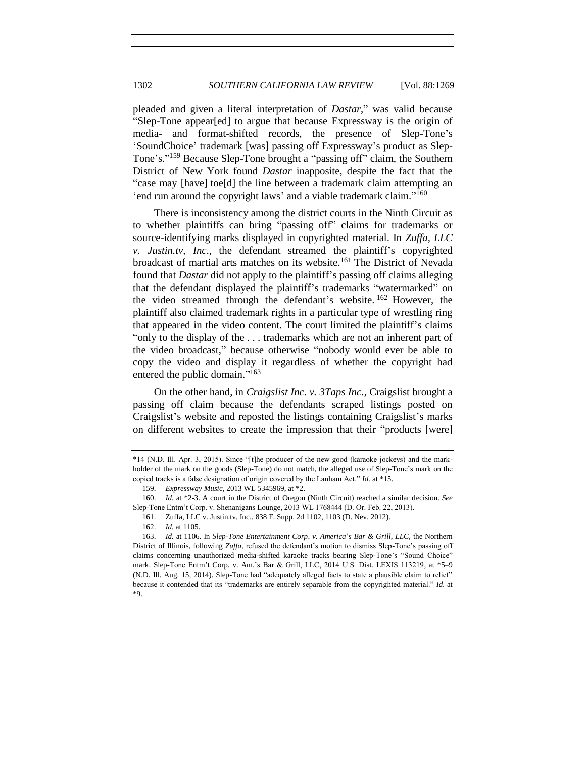pleaded and given a literal interpretation of *Dastar*," was valid because "Slep-Tone appear[ed] to argue that because Expressway is the origin of media- and format-shifted records, the presence of Slep-Tone's 'SoundChoice' trademark [was] passing off Expressway's product as Slep-Tone's." <sup>159</sup> Because Slep-Tone brought a "passing off" claim, the Southern District of New York found *Dastar* inapposite, despite the fact that the "case may [have] toe[d] the line between a trademark claim attempting an 'end run around the copyright laws' and a viable trademark claim."<sup>160</sup>

There is inconsistency among the district courts in the Ninth Circuit as to whether plaintiffs can bring "passing off" claims for trademarks or source-identifying marks displayed in copyrighted material. In *Zuffa, LLC v. Justin.tv, Inc*., the defendant streamed the plaintiff's copyrighted broadcast of martial arts matches on its website.<sup>161</sup> The District of Nevada found that *Dastar* did not apply to the plaintiff's passing off claims alleging that the defendant displayed the plaintiff's trademarks "watermarked" on the video streamed through the defendant's website. <sup>162</sup> However, the plaintiff also claimed trademark rights in a particular type of wrestling ring that appeared in the video content. The court limited the plaintiff's claims "only to the display of the . . . trademarks which are not an inherent part of the video broadcast," because otherwise "nobody would ever be able to copy the video and display it regardless of whether the copyright had entered the public domain."<sup>163</sup>

On the other hand, in *Craigslist Inc. v. 3Taps Inc.*, Craigslist brought a passing off claim because the defendants scraped listings posted on Craigslist's website and reposted the listings containing Craigslist's marks on different websites to create the impression that their "products [were]

<sup>\*14 (</sup>N.D. Ill. Apr. 3, 2015). Since "[t]he producer of the new good (karaoke jockeys) and the markholder of the mark on the goods (Slep-Tone) do not match, the alleged use of Slep-Tone's mark on the copied tracks is a false designation of origin covered by the Lanham Act." *Id.* at \*15.

<sup>159.</sup> *Expressway Music*, 2013 WL 5345969, at \*2.

<sup>160.</sup> *Id.* at \*2-3. A court in the District of Oregon (Ninth Circuit) reached a similar decision. *See* Slep*-*Tone Entm't Corp. v. Shenanigans Lounge, 2013 WL 1768444 (D. Or. Feb. 22, 2013).

<sup>161.</sup> Zuffa, LLC v. Justin.tv, Inc., 838 F. Supp. 2d 1102, 1103 (D. Nev. 2012).

<sup>162.</sup> *Id.* at 1105.

<sup>163.</sup> *Id.* at 1106. In *Slep-Tone Entertainment Corp*. *v*. *America*'*s Bar & Grill*, *LLC*, the Northern District of Illinois, following *Zuffa*, refused the defendant's motion to dismiss Slep-Tone's passing off claims concerning unauthorized media-shifted karaoke tracks bearing Slep-Tone's "Sound Choice" mark. Slep-Tone Entm't Corp. v. Am.'s Bar & Grill, LLC, 2014 U.S. Dist. LEXIS 113219, at \*5–9 (N.D. Ill. Aug. 15, 2014). Slep-Tone had "adequately alleged facts to state a plausible claim to relief" because it contended that its "trademarks are entirely separable from the copyrighted material." *Id*. at \*9.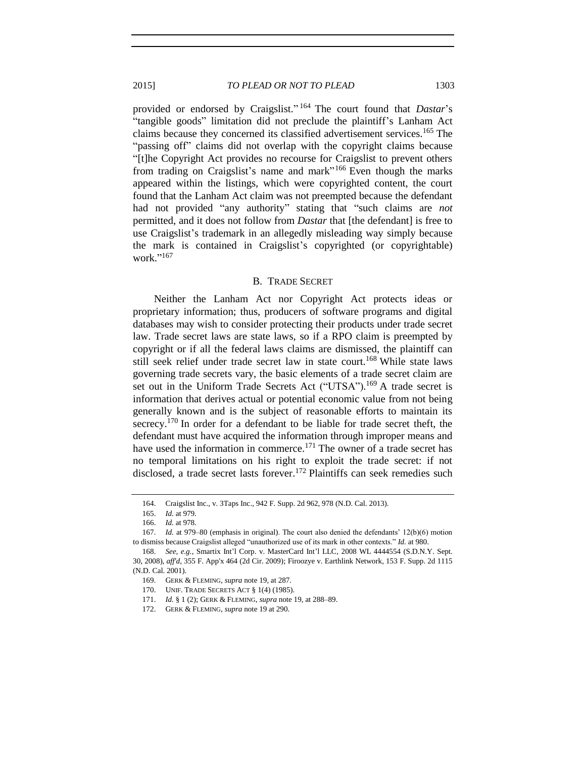provided or endorsed by Craigslist." <sup>164</sup> The court found that *Dastar*'s "tangible goods" limitation did not preclude the plaintiff's Lanham Act claims because they concerned its classified advertisement services.<sup>165</sup> The "passing off" claims did not overlap with the copyright claims because "[t]he Copyright Act provides no recourse for Craigslist to prevent others from trading on Craigslist's name and mark"<sup>166</sup> Even though the marks appeared within the listings, which were copyrighted content, the court found that the Lanham Act claim was not preempted because the defendant had not provided "any authority" stating that "such claims are *not* permitted, and it does not follow from *Dastar* that [the defendant] is free to use Craigslist's trademark in an allegedly misleading way simply because the mark is contained in Craigslist's copyrighted (or copyrightable) work." 167

#### B. TRADE SECRET

Neither the Lanham Act nor Copyright Act protects ideas or proprietary information; thus, producers of software programs and digital databases may wish to consider protecting their products under trade secret law. Trade secret laws are state laws, so if a RPO claim is preempted by copyright or if all the federal laws claims are dismissed, the plaintiff can still seek relief under trade secret law in state court.<sup>168</sup> While state laws governing trade secrets vary, the basic elements of a trade secret claim are set out in the Uniform Trade Secrets Act ("UTSA").<sup>169</sup> A trade secret is information that derives actual or potential economic value from not being generally known and is the subject of reasonable efforts to maintain its secrecy.<sup>170</sup> In order for a defendant to be liable for trade secret theft, the defendant must have acquired the information through improper means and have used the information in commerce.<sup>171</sup> The owner of a trade secret has no temporal limitations on his right to exploit the trade secret: if not disclosed, a trade secret lasts forever.<sup>172</sup> Plaintiffs can seek remedies such

<sup>164.</sup> Craigslist Inc., v. 3Taps Inc., 942 F. Supp. 2d 962, 978 (N.D. Cal. 2013).

<sup>165.</sup> *Id.* at 979.

<sup>166.</sup> *Id.* at 978.

<sup>167.</sup> *Id.* at 979–80 (emphasis in original). The court also denied the defendants' 12(b)(6) motion to dismiss because Craigslist alleged "unauthorized use of its mark in other contexts." *Id.* at 980.

<sup>168.</sup> *See, e.g.*, Smartix Int'l Corp. v. MasterCard Int'l LLC, 2008 WL 4444554 (S.D.N.Y. Sept. 30, 2008), *aff'd*, 355 F. App'x 464 (2d Cir. 2009); Firoozye v. Earthlink Network, 153 F. Supp. 2d 1115 (N.D. Cal. 2001).

<sup>169.</sup> GERK & FLEMING, *supra* not[e 19,](#page-5-0) at 287.

<sup>170.</sup> UNIF. TRADE SECRETS ACT § 1(4) (1985).

<sup>171.</sup> *Id.* § 1 (2); GERK & FLEMING, *supra* not[e 19,](#page-5-0) at 288–89.

<sup>172.</sup> GERK & FLEMING, *supra* not[e 19](#page-5-0) at 290.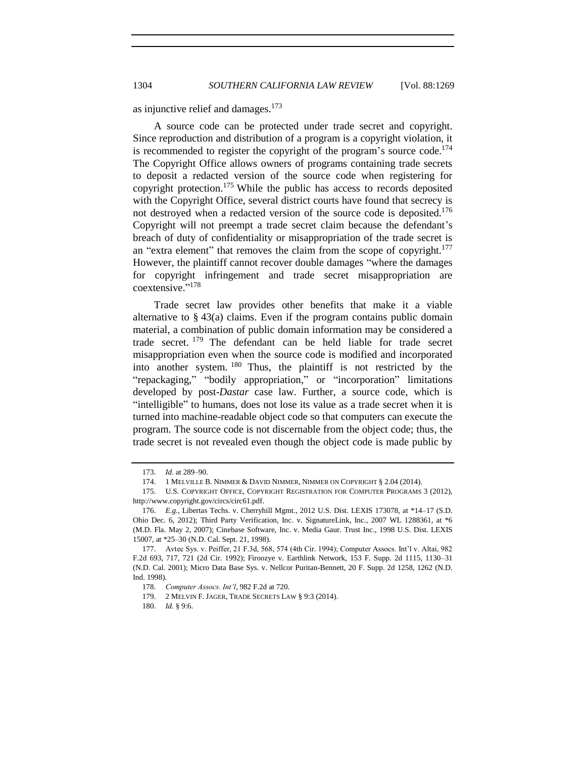as injunctive relief and damages.<sup>173</sup>

A source code can be protected under trade secret and copyright. Since reproduction and distribution of a program is a copyright violation, it is recommended to register the copyright of the program's source code.<sup>174</sup> The Copyright Office allows owners of programs containing trade secrets to deposit a redacted version of the source code when registering for copyright protection.<sup>175</sup> While the public has access to records deposited with the Copyright Office, several district courts have found that secrecy is not destroyed when a redacted version of the source code is deposited.<sup>176</sup> Copyright will not preempt a trade secret claim because the defendant's breach of duty of confidentiality or misappropriation of the trade secret is an "extra element" that removes the claim from the scope of copyright.<sup>177</sup> However, the plaintiff cannot recover double damages "where the damages for copyright infringement and trade secret misappropriation are coextensive." 178

Trade secret law provides other benefits that make it a viable alternative to § 43(a) claims. Even if the program contains public domain material, a combination of public domain information may be considered a trade secret. <sup>179</sup> The defendant can be held liable for trade secret misappropriation even when the source code is modified and incorporated into another system. <sup>180</sup> Thus, the plaintiff is not restricted by the "repackaging," "bodily appropriation," or "incorporation" limitations developed by post-*Dastar* case law. Further, a source code, which is "intelligible" to humans, does not lose its value as a trade secret when it is turned into machine-readable object code so that computers can execute the program. The source code is not discernable from the object code; thus, the trade secret is not revealed even though the object code is made public by

<sup>173.</sup> *Id.* at 289–90.

<sup>174.</sup> 1 MELVILLE B. NIMMER & DAVID NIMMER, NIMMER ON COPYRIGHT § 2.04 (2014).

<sup>175.</sup> U.S. COPYRIGHT OFFICE, COPYRIGHT REGISTRATION FOR COMPUTER PROGRAMS 3 (2012), http://www.copyright.gov/circs/circ61.pdf.

<sup>176.</sup> *E.g.*, Libertas Techs. v. Cherryhill Mgmt., 2012 U.S. Dist. LEXIS 173078, at \*14–17 (S.D. Ohio Dec. 6, 2012); Third Party Verification, Inc. v. SignatureLink, Inc., 2007 WL 1288361, at \*6 (M.D. Fla. May 2, 2007); Cinebase Software, Inc. v. Media Gaur. Trust Inc., 1998 U.S. Dist. LEXIS 15007, at \*25–30 (N.D. Cal. Sept. 21, 1998).

<sup>177.</sup> Avtec Sys. v. Peiffer, 21 F.3d, 568, 574 (4th Cir. 1994); Computer Assocs. Int'l v. Altai, 982 F.2d 693, 717, 721 (2d Cir. 1992); Firoozye v. Earthlink Network, 153 F. Supp. 2d 1115, 1130–31 (N.D. Cal. 2001); Micro Data Base Sys. v. Nellcor Puritan-Bennett, 20 F. Supp. 2d 1258, 1262 (N.D. Ind. 1998).

<sup>178.</sup> *Computer Assocs. Int'l*, 982 F.2d at 720.

<sup>179.</sup> 2 MELVIN F. JAGER, TRADE SECRETS LAW § 9:3 (2014).

<sup>180.</sup> *Id.* § 9:6.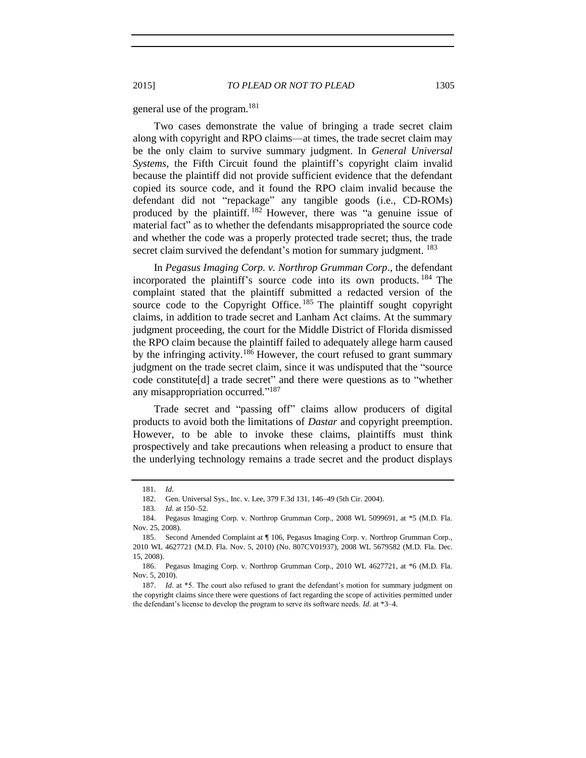general use of the program.<sup>181</sup>

Two cases demonstrate the value of bringing a trade secret claim along with copyright and RPO claims—at times, the trade secret claim may be the only claim to survive summary judgment. In *General Universal Systems*, the Fifth Circuit found the plaintiff's copyright claim invalid because the plaintiff did not provide sufficient evidence that the defendant copied its source code, and it found the RPO claim invalid because the defendant did not "repackage" any tangible goods (i.e., CD-ROMs) produced by the plaintiff. <sup>182</sup> However, there was "a genuine issue of material fact" as to whether the defendants misappropriated the source code and whether the code was a properly protected trade secret; thus, the trade secret claim survived the defendant's motion for summary judgment. <sup>183</sup>

In *Pegasus Imaging Corp. v. Northrop Grumman Corp*., the defendant incorporated the plaintiff's source code into its own products. <sup>184</sup> The complaint stated that the plaintiff submitted a redacted version of the source code to the Copyright Office.<sup>185</sup> The plaintiff sought copyright claims, in addition to trade secret and Lanham Act claims. At the summary judgment proceeding, the court for the Middle District of Florida dismissed the RPO claim because the plaintiff failed to adequately allege harm caused by the infringing activity.<sup>186</sup> However, the court refused to grant summary judgment on the trade secret claim, since it was undisputed that the "source code constitute[d] a trade secret" and there were questions as to "whether any misappropriation occurred."<sup>187</sup>

Trade secret and "passing off" claims allow producers of digital products to avoid both the limitations of *Dastar* and copyright preemption. However, to be able to invoke these claims, plaintiffs must think prospectively and take precautions when releasing a product to ensure that the underlying technology remains a trade secret and the product displays

<sup>181.</sup> *Id.*

<sup>182.</sup> Gen. Universal Sys., Inc. v. Lee, 379 F.3d 131, 146–49 (5th Cir. 2004).

<sup>183.</sup> *Id.* at 150–52.

<sup>184.</sup> Pegasus Imaging Corp. v. Northrop Grumman Corp., 2008 WL 5099691, at \*5 (M.D. Fla. Nov. 25, 2008).

<sup>185.</sup> Second Amended Complaint at ¶ 106, Pegasus Imaging Corp. v. Northrop Grumman Corp., 2010 WL 4627721 (M.D. Fla. Nov. 5, 2010) (No. 807CV01937), 2008 WL 5679582 (M.D. Fla. Dec. 15, 2008).

<sup>186.</sup> Pegasus Imaging Corp. v. Northrop Grumman Corp., 2010 WL 4627721, at \*6 (M.D. Fla. Nov. 5, 2010).

<sup>187.</sup> *Id.* at \*5. The court also refused to grant the defendant's motion for summary judgment on the copyright claims since there were questions of fact regarding the scope of activities permitted under the defendant's license to develop the program to serve its software needs. *Id*. at \*3–4.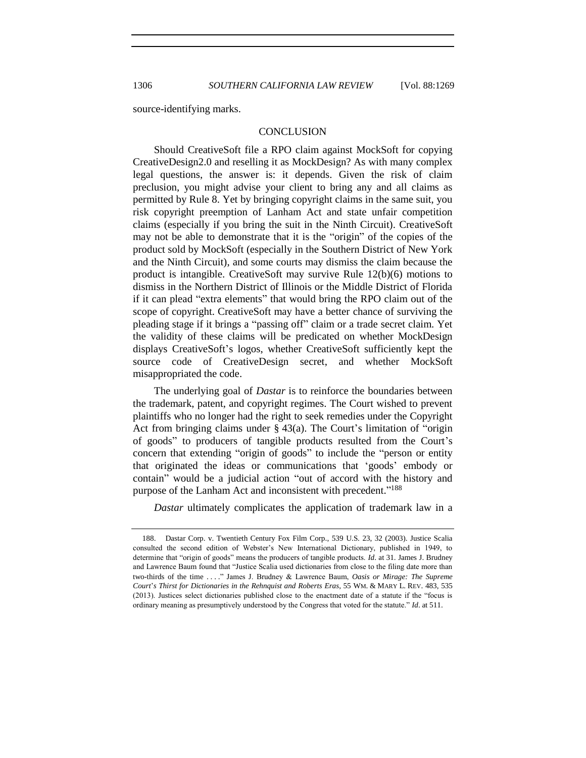source-identifying marks.

## **CONCLUSION**

Should CreativeSoft file a RPO claim against MockSoft for copying CreativeDesign2.0 and reselling it as MockDesign? As with many complex legal questions, the answer is: it depends. Given the risk of claim preclusion, you might advise your client to bring any and all claims as permitted by Rule 8. Yet by bringing copyright claims in the same suit, you risk copyright preemption of Lanham Act and state unfair competition claims (especially if you bring the suit in the Ninth Circuit). CreativeSoft may not be able to demonstrate that it is the "origin" of the copies of the product sold by MockSoft (especially in the Southern District of New York and the Ninth Circuit), and some courts may dismiss the claim because the product is intangible. CreativeSoft may survive Rule 12(b)(6) motions to dismiss in the Northern District of Illinois or the Middle District of Florida if it can plead "extra elements" that would bring the RPO claim out of the scope of copyright. CreativeSoft may have a better chance of surviving the pleading stage if it brings a "passing off" claim or a trade secret claim. Yet the validity of these claims will be predicated on whether MockDesign displays CreativeSoft's logos, whether CreativeSoft sufficiently kept the source code of CreativeDesign secret, and whether MockSoft misappropriated the code.

The underlying goal of *Dastar* is to reinforce the boundaries between the trademark, patent, and copyright regimes. The Court wished to prevent plaintiffs who no longer had the right to seek remedies under the Copyright Act from bringing claims under § 43(a). The Court's limitation of "origin of goods" to producers of tangible products resulted from the Court's concern that extending "origin of goods" to include the "person or entity that originated the ideas or communications that 'goods' embody or contain" would be a judicial action "out of accord with the history and purpose of the Lanham Act and inconsistent with precedent."<sup>188</sup>

*Dastar* ultimately complicates the application of trademark law in a

<sup>188.</sup> Dastar Corp. v. Twentieth Century Fox Film Corp., 539 U.S. 23, 32 (2003). Justice Scalia consulted the second edition of Webster's New International Dictionary, published in 1949, to determine that "origin of goods" means the producers of tangible products. *Id*. at 31. James J. Brudney and Lawrence Baum found that "Justice Scalia used dictionaries from close to the filing date more than two-thirds of the time . . . ." James J. Brudney & Lawrence Baum, *Oasis or Mirage: The Supreme Court*'*s Thirst for Dictionaries in the Rehnquist and Roberts Eras*, 55 WM. & MARY L. REV. 483, 535 (2013). Justices select dictionaries published close to the enactment date of a statute if the "focus is ordinary meaning as presumptively understood by the Congress that voted for the statute." *Id*. at 511.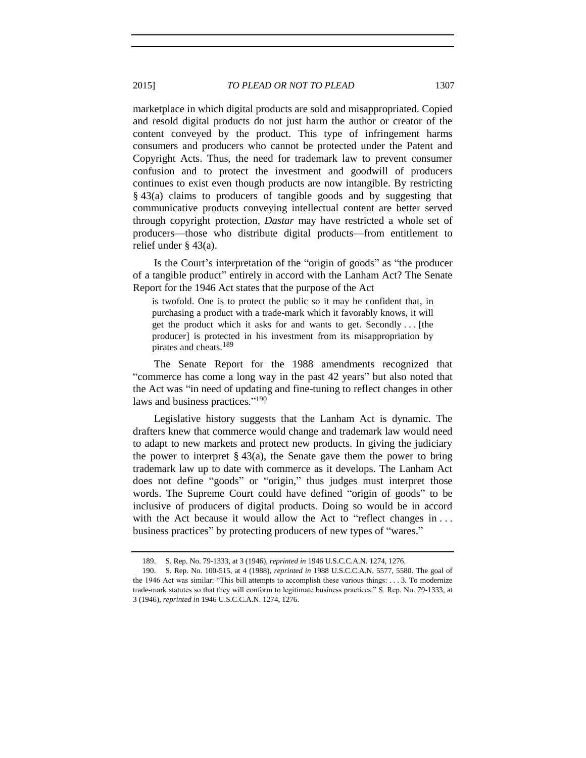marketplace in which digital products are sold and misappropriated. Copied and resold digital products do not just harm the author or creator of the content conveyed by the product. This type of infringement harms consumers and producers who cannot be protected under the Patent and Copyright Acts. Thus, the need for trademark law to prevent consumer confusion and to protect the investment and goodwill of producers continues to exist even though products are now intangible. By restricting § 43(a) claims to producers of tangible goods and by suggesting that communicative products conveying intellectual content are better served through copyright protection, *Dastar* may have restricted a whole set of producers—those who distribute digital products—from entitlement to relief under § 43(a).

Is the Court's interpretation of the "origin of goods" as "the producer of a tangible product" entirely in accord with the Lanham Act? The Senate Report for the 1946 Act states that the purpose of the Act

is twofold. One is to protect the public so it may be confident that, in purchasing a product with a trade-mark which it favorably knows, it will get the product which it asks for and wants to get. Secondly . . . [the producer] is protected in his investment from its misappropriation by pirates and cheats.<sup>189</sup>

The Senate Report for the 1988 amendments recognized that "commerce has come a long way in the past 42 years" but also noted that the Act was "in need of updating and fine-tuning to reflect changes in other laws and business practices."<sup>190</sup>

Legislative history suggests that the Lanham Act is dynamic. The drafters knew that commerce would change and trademark law would need to adapt to new markets and protect new products. In giving the judiciary the power to interpret  $\S 43(a)$ , the Senate gave them the power to bring trademark law up to date with commerce as it develops. The Lanham Act does not define "goods" or "origin," thus judges must interpret those words. The Supreme Court could have defined "origin of goods" to be inclusive of producers of digital products. Doing so would be in accord with the Act because it would allow the Act to "reflect changes in ... business practices" by protecting producers of new types of "wares."

<sup>189.</sup> S. Rep. No. 79-1333, at 3 (1946), *reprinted in* 1946 U.S.C.C.A.N. 1274, 1276.

<sup>190.</sup> S. Rep. No. 100-515, at 4 (1988), *reprinted in* 1988 U.S.C.C.A.N. 5577, 5580. The goal of the 1946 Act was similar: "This bill attempts to accomplish these various things: . . . 3. To modernize trade-mark statutes so that they will conform to legitimate business practices." S. Rep. No. 79-1333, at 3 (1946), *reprinted in* 1946 U.S.C.C.A.N. 1274, 1276.